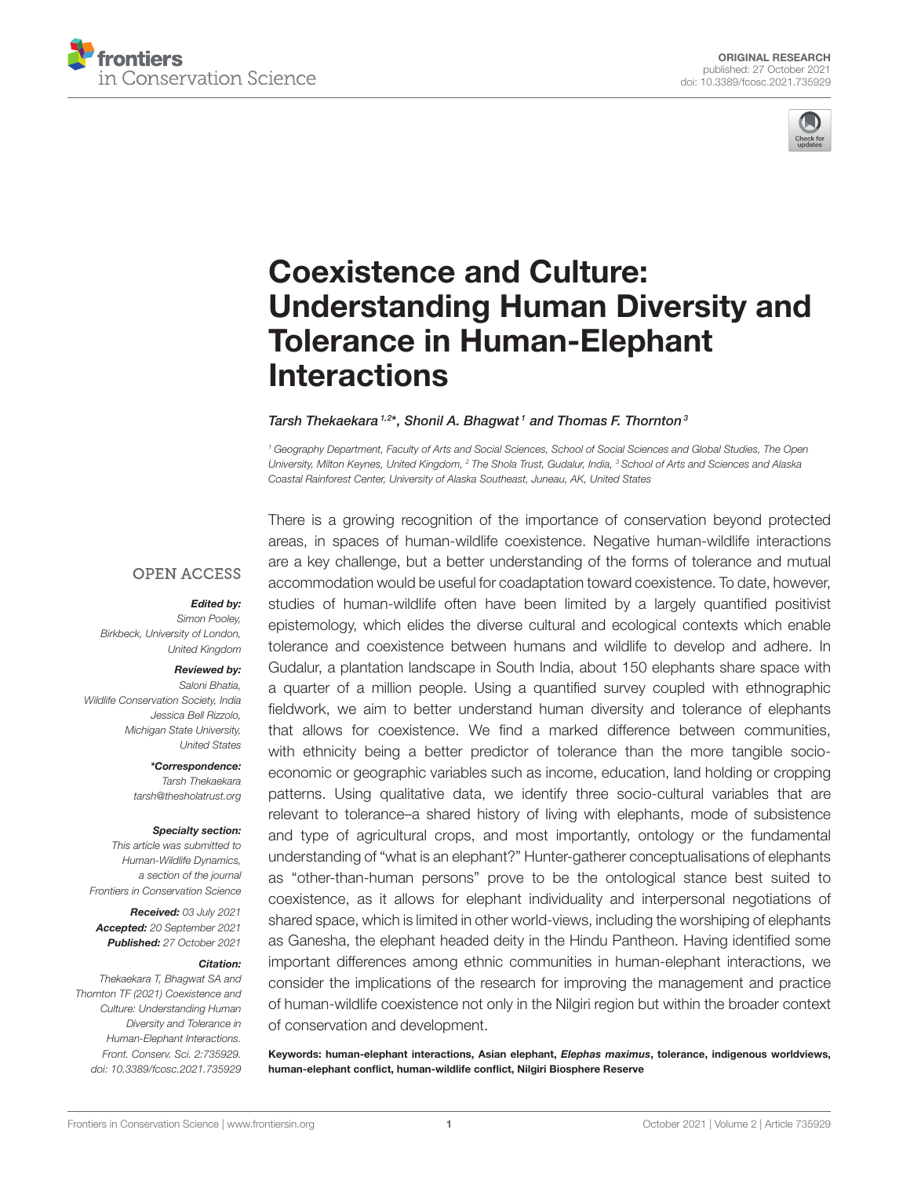



# Coexistence and Culture: [Understanding Human Diversity and](https://www.frontiersin.org/articles/10.3389/fcosc.2021.735929/full) Tolerance in Human-Elephant Interactions

#### Tarsh Thekaekara<sup>1,2\*</sup>, Shonil A. Bhagwat<sup>1</sup> and Thomas F. Thornton<sup>3</sup>

*<sup>1</sup> Geography Department, Faculty of Arts and Social Sciences, School of Social Sciences and Global Studies, The Open University, Milton Keynes, United Kingdom, <sup>2</sup> The Shola Trust, Gudalur, India, <sup>3</sup> School of Arts and Sciences and Alaska Coastal Rainforest Center, University of Alaska Southeast, Juneau, AK, United States*

### **OPEN ACCESS**

### Edited by:

*Simon Pooley, Birkbeck, University of London, United Kingdom*

#### Reviewed by:

*Saloni Bhatia, Wildlife Conservation Society, India Jessica Bell Rizzolo, Michigan State University, United States*

> \*Correspondence: *Tarsh Thekaekara [tarsh@thesholatrust.org](mailto:tarsh@thesholatrust.org)*

#### Specialty section:

*This article was submitted to Human-Wildlife Dynamics, a section of the journal Frontiers in Conservation Science*

Received: *03 July 2021* Accepted: *20 September 2021* Published: *27 October 2021*

#### Citation:

*Thekaekara T, Bhagwat SA and Thornton TF (2021) Coexistence and Culture: Understanding Human Diversity and Tolerance in Human-Elephant Interactions. Front. Conserv. Sci. 2:735929. doi: [10.3389/fcosc.2021.735929](https://doi.org/10.3389/fcosc.2021.735929)* There is a growing recognition of the importance of conservation beyond protected areas, in spaces of human-wildlife coexistence. Negative human-wildlife interactions are a key challenge, but a better understanding of the forms of tolerance and mutual accommodation would be useful for coadaptation toward coexistence. To date, however, studies of human-wildlife often have been limited by a largely quantified positivist epistemology, which elides the diverse cultural and ecological contexts which enable tolerance and coexistence between humans and wildlife to develop and adhere. In Gudalur, a plantation landscape in South India, about 150 elephants share space with a quarter of a million people. Using a quantified survey coupled with ethnographic fieldwork, we aim to better understand human diversity and tolerance of elephants that allows for coexistence. We find a marked difference between communities, with ethnicity being a better predictor of tolerance than the more tangible socioeconomic or geographic variables such as income, education, land holding or cropping patterns. Using qualitative data, we identify three socio-cultural variables that are relevant to tolerance–a shared history of living with elephants, mode of subsistence and type of agricultural crops, and most importantly, ontology or the fundamental understanding of "what is an elephant?" Hunter-gatherer conceptualisations of elephants as "other-than-human persons" prove to be the ontological stance best suited to coexistence, as it allows for elephant individuality and interpersonal negotiations of shared space, which is limited in other world-views, including the worshiping of elephants as Ganesha, the elephant headed deity in the Hindu Pantheon. Having identified some important differences among ethnic communities in human-elephant interactions, we consider the implications of the research for improving the management and practice of human-wildlife coexistence not only in the Nilgiri region but within the broader context of conservation and development.

Keywords: human-elephant interactions, Asian elephant, Elephas maximus, tolerance, indigenous worldviews, human-elephant conflict, human-wildlife conflict, Nilgiri Biosphere Reserve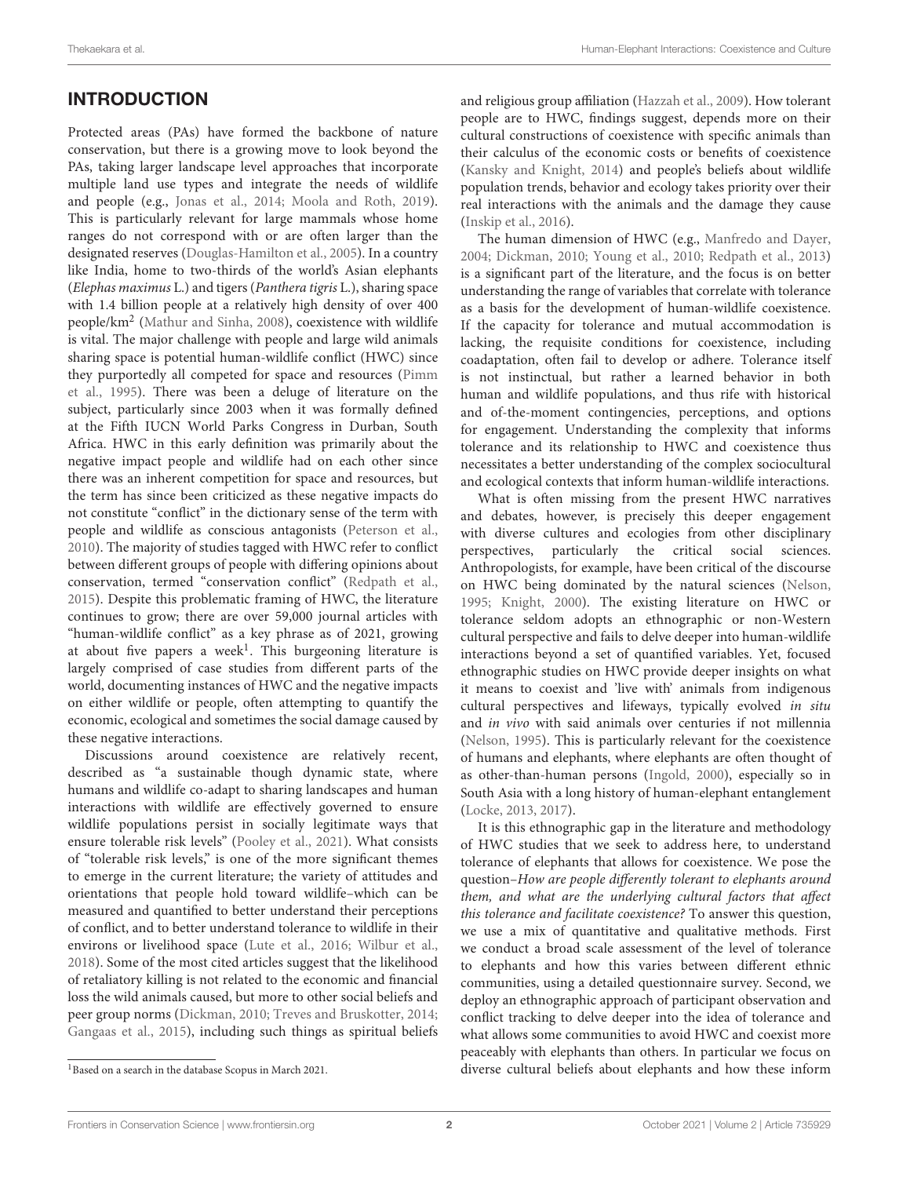# INTRODUCTION

Protected areas (PAs) have formed the backbone of nature conservation, but there is a growing move to look beyond the PAs, taking larger landscape level approaches that incorporate multiple land use types and integrate the needs of wildlife and people (e.g., [Jonas et al., 2014;](#page-15-0) [Moola and Roth, 2019\)](#page-16-0). This is particularly relevant for large mammals whose home ranges do not correspond with or are often larger than the designated reserves [\(Douglas-Hamilton et al., 2005\)](#page-15-1). In a country like India, home to two-thirds of the world's Asian elephants (Elephas maximus L.) and tigers (Panthera tigris L.), sharing space with 1.4 billion people at a relatively high density of over 400 people/km<sup>2</sup> [\(Mathur and Sinha, 2008\)](#page-16-1), coexistence with wildlife is vital. The major challenge with people and large wild animals sharing space is potential human-wildlife conflict (HWC) since they purportedly all competed for space and resources (Pimm et al., [1995\)](#page-16-2). There was been a deluge of literature on the subject, particularly since 2003 when it was formally defined at the Fifth IUCN World Parks Congress in Durban, South Africa. HWC in this early definition was primarily about the negative impact people and wildlife had on each other since there was an inherent competition for space and resources, but the term has since been criticized as these negative impacts do not constitute "conflict" in the dictionary sense of the term with people and wildlife as conscious antagonists [\(Peterson et al.,](#page-16-3) [2010\)](#page-16-3). The majority of studies tagged with HWC refer to conflict between different groups of people with differing opinions about conservation, termed "conservation conflict" [\(Redpath et al.,](#page-16-4) [2015\)](#page-16-4). Despite this problematic framing of HWC, the literature continues to grow; there are over 59,000 journal articles with "human-wildlife conflict" as a key phrase as of 2021, growing at about five papers a week<sup>[1](#page-1-0)</sup>. This burgeoning literature is largely comprised of case studies from different parts of the world, documenting instances of HWC and the negative impacts on either wildlife or people, often attempting to quantify the economic, ecological and sometimes the social damage caused by these negative interactions.

Discussions around coexistence are relatively recent, described as "a sustainable though dynamic state, where humans and wildlife co-adapt to sharing landscapes and human interactions with wildlife are effectively governed to ensure wildlife populations persist in socially legitimate ways that ensure tolerable risk levels" [\(Pooley et al., 2021\)](#page-16-5). What consists of "tolerable risk levels," is one of the more significant themes to emerge in the current literature; the variety of attitudes and orientations that people hold toward wildlife–which can be measured and quantified to better understand their perceptions of conflict, and to better understand tolerance to wildlife in their environs or livelihood space [\(Lute et al., 2016;](#page-15-2) [Wilbur et al.,](#page-16-6) [2018\)](#page-16-6). Some of the most cited articles suggest that the likelihood of retaliatory killing is not related to the economic and financial loss the wild animals caused, but more to other social beliefs and peer group norms [\(Dickman, 2010;](#page-15-3) [Treves and Bruskotter, 2014;](#page-16-7) [Gangaas et al., 2015\)](#page-15-4), including such things as spiritual beliefs and religious group affiliation [\(Hazzah et al., 2009\)](#page-15-5). How tolerant people are to HWC, findings suggest, depends more on their cultural constructions of coexistence with specific animals than their calculus of the economic costs or benefits of coexistence [\(Kansky and Knight, 2014\)](#page-15-6) and people's beliefs about wildlife population trends, behavior and ecology takes priority over their real interactions with the animals and the damage they cause [\(Inskip et al., 2016\)](#page-15-7).

The human dimension of HWC (e.g., [Manfredo and Dayer,](#page-15-8) [2004;](#page-15-8) [Dickman, 2010;](#page-15-3) [Young et al., 2010;](#page-16-8) [Redpath et al., 2013\)](#page-16-9) is a significant part of the literature, and the focus is on better understanding the range of variables that correlate with tolerance as a basis for the development of human-wildlife coexistence. If the capacity for tolerance and mutual accommodation is lacking, the requisite conditions for coexistence, including coadaptation, often fail to develop or adhere. Tolerance itself is not instinctual, but rather a learned behavior in both human and wildlife populations, and thus rife with historical and of-the-moment contingencies, perceptions, and options for engagement. Understanding the complexity that informs tolerance and its relationship to HWC and coexistence thus necessitates a better understanding of the complex sociocultural and ecological contexts that inform human-wildlife interactions.

What is often missing from the present HWC narratives and debates, however, is precisely this deeper engagement with diverse cultures and ecologies from other disciplinary perspectives, particularly the critical social sciences. Anthropologists, for example, have been critical of the discourse on HWC being dominated by the natural sciences [\(Nelson,](#page-16-10) [1995;](#page-16-10) [Knight, 2000\)](#page-15-9). The existing literature on HWC or tolerance seldom adopts an ethnographic or non-Western cultural perspective and fails to delve deeper into human-wildlife interactions beyond a set of quantified variables. Yet, focused ethnographic studies on HWC provide deeper insights on what it means to coexist and 'live with' animals from indigenous cultural perspectives and lifeways, typically evolved in situ and in vivo with said animals over centuries if not millennia [\(Nelson, 1995\)](#page-16-10). This is particularly relevant for the coexistence of humans and elephants, where elephants are often thought of as other-than-human persons [\(Ingold, 2000\)](#page-15-10), especially so in South Asia with a long history of human-elephant entanglement [\(Locke, 2013,](#page-15-11) [2017\)](#page-15-12).

It is this ethnographic gap in the literature and methodology of HWC studies that we seek to address here, to understand tolerance of elephants that allows for coexistence. We pose the question–How are people differently tolerant to elephants around them, and what are the underlying cultural factors that affect this tolerance and facilitate coexistence? To answer this question, we use a mix of quantitative and qualitative methods. First we conduct a broad scale assessment of the level of tolerance to elephants and how this varies between different ethnic communities, using a detailed questionnaire survey. Second, we deploy an ethnographic approach of participant observation and conflict tracking to delve deeper into the idea of tolerance and what allows some communities to avoid HWC and coexist more peaceably with elephants than others. In particular we focus on diverse cultural beliefs about elephants and how these inform

<span id="page-1-0"></span><sup>1</sup>Based on a search in the database Scopus in March 2021.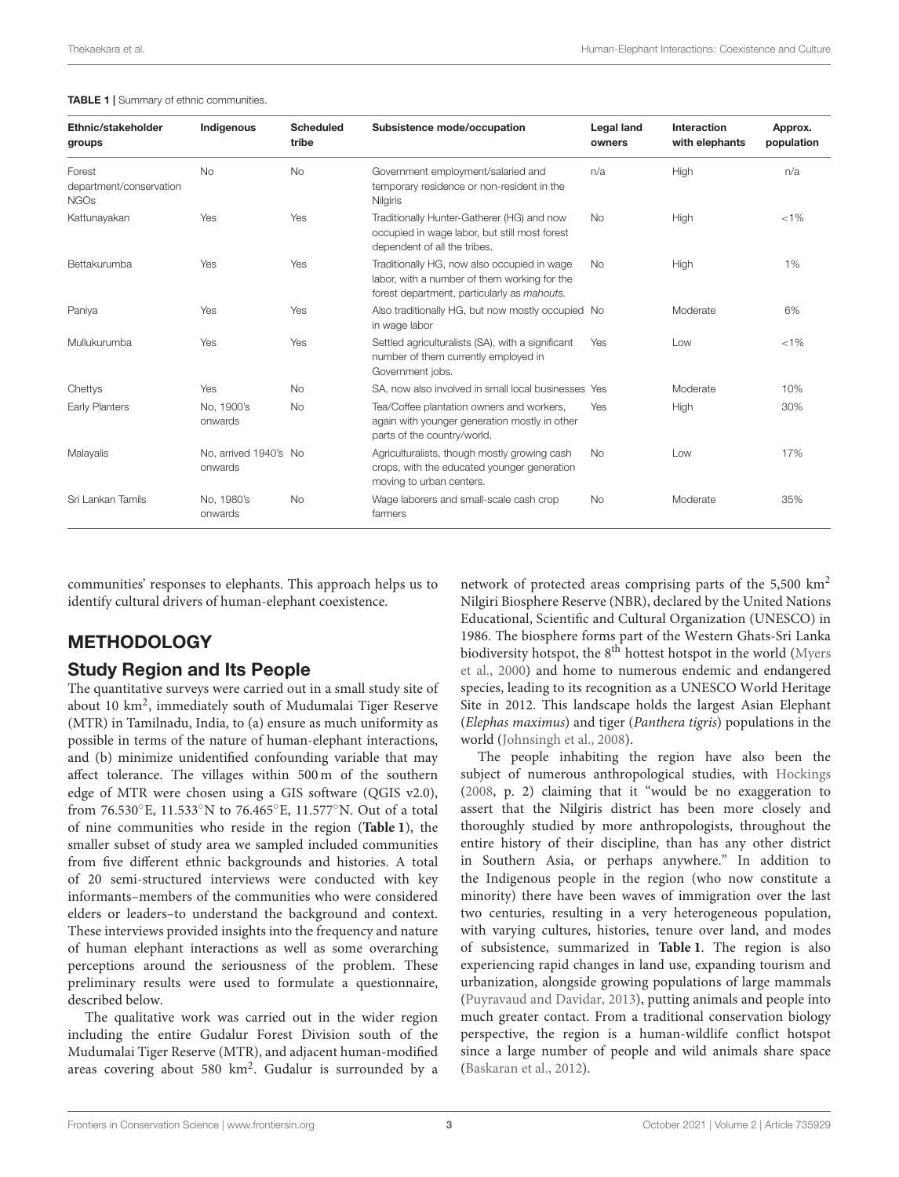#### <span id="page-2-0"></span>TABLE 1 | Summary of ethnic communities.

| Ethnic/stakeholder<br>groups                     | Indigenous                       | <b>Scheduled</b><br>tribe | Subsistence mode/occupation                                                                                                                | <b>Legal land</b><br>owners | Interaction<br>with elephants | Approx.<br>population |
|--------------------------------------------------|----------------------------------|---------------------------|--------------------------------------------------------------------------------------------------------------------------------------------|-----------------------------|-------------------------------|-----------------------|
| Forest<br>department/conservation<br><b>NGOs</b> | <b>No</b>                        | <b>No</b>                 | Government employment/salaried and<br>temporary residence or non-resident in the<br><b>Nilgiris</b>                                        | n/a                         | High                          | n/a                   |
| Kattunayakan                                     | Yes                              | Yes                       | Traditionally Hunter-Gatherer (HG) and now<br>occupied in wage labor, but still most forest<br>dependent of all the tribes.                | <b>No</b>                   | High                          | $< 1\%$               |
| Bettakurumba                                     | Yes                              | Yes                       | Traditionally HG, now also occupied in wage<br>labor, with a number of them working for the<br>forest department, particularly as mahouts. | <b>No</b>                   | High                          | 1%                    |
| Paniya                                           | Yes                              | Yes                       | Also traditionally HG, but now mostly occupied No<br>in wage labor                                                                         |                             | Moderate                      | 6%                    |
| Mullukurumba                                     | Yes                              | Yes                       | Settled agriculturalists (SA), with a significant<br>number of them currently employed in<br>Government jobs.                              | <b>Yes</b>                  | Low                           | $< 1\%$               |
| Chettys                                          | Yes                              | <b>No</b>                 | SA, now also involved in small local businesses Yes                                                                                        |                             | Moderate                      | 10%                   |
| Early Planters                                   | No. 1900's<br>onwards            | <b>No</b>                 | Tea/Coffee plantation owners and workers,<br>again with younger generation mostly in other<br>parts of the country/world.                  | Yes                         | High                          | 30%                   |
| Malayalis                                        | No, arrived 1940's No<br>onwards |                           | Agriculturalists, though mostly growing cash<br>crops, with the educated younger generation<br>moving to urban centers.                    | <b>No</b>                   | Low                           | 17%                   |
| Sri Lankan Tamils                                | No. 1980's<br>onwards            | <b>No</b>                 | Wage laborers and small-scale cash crop<br>farmers                                                                                         | <b>No</b>                   | Moderate                      | 35%                   |

communities' responses to elephants. This approach helps us to identify cultural drivers of human-elephant coexistence.

### METHODOLOGY

### Study Region and Its People

The quantitative surveys were carried out in a small study site of about 10 km<sup>2</sup>, immediately south of Mudumalai Tiger Reserve (MTR) in Tamilnadu, India, to (a) ensure as much uniformity as possible in terms of the nature of human-elephant interactions, and (b) minimize unidentified confounding variable that may affect tolerance. The villages within 500 m of the southern edge of MTR were chosen using a GIS software (QGIS v2.0), from 76.530◦E, 11.533◦N to 76.465◦E, 11.577◦N. Out of a total of nine communities who reside in the region (**[Table 1](#page-2-0)**), the smaller subset of study area we sampled included communities from five different ethnic backgrounds and histories. A total of 20 semi-structured interviews were conducted with key informants–members of the communities who were considered elders or leaders–to understand the background and context. These interviews provided insights into the frequency and nature of human elephant interactions as well as some overarching perceptions around the seriousness of the problem. These preliminary results were used to formulate a questionnaire, described below.

The qualitative work was carried out in the wider region including the entire Gudalur Forest Division south of the Mudumalai Tiger Reserve (MTR), and adjacent human-modified areas covering about 580 km<sup>2</sup>. Gudalur is surrounded by a

network of protected areas comprising parts of the  $5,500 \text{ km}^2$ Nilgiri Biosphere Reserve (NBR), declared by the United Nations Educational, Scientific and Cultural Organization (UNESCO) in 1986. The biosphere forms part of the Western Ghats-Sri Lanka biodiversity hotspot, the  $8<sup>th</sup>$  hottest hotspot in the world (Myers et al., [2000\)](#page-16-11) and home to numerous endemic and endangered species, leading to its recognition as a UNESCO World Heritage Site in 2012. This landscape holds the largest Asian Elephant (Elephas maximus) and tiger (Panthera tigris) populations in the world [\(Johnsingh et al., 2008\)](#page-15-13).

The people inhabiting the region have also been the subject of numerous anthropological studies, with [Hockings](#page-15-14) [\(2008,](#page-15-14) p. 2) claiming that it "would be no exaggeration to assert that the Nilgiris district has been more closely and thoroughly studied by more anthropologists, throughout the entire history of their discipline, than has any other district in Southern Asia, or perhaps anywhere." In addition to the Indigenous people in the region (who now constitute a minority) there have been waves of immigration over the last two centuries, resulting in a very heterogeneous population, with varying cultures, histories, tenure over land, and modes of subsistence, summarized in **[Table 1](#page-2-0)**. The region is also experiencing rapid changes in land use, expanding tourism and urbanization, alongside growing populations of large mammals [\(Puyravaud and Davidar, 2013\)](#page-16-12), putting animals and people into much greater contact. From a traditional conservation biology perspective, the region is a human-wildlife conflict hotspot since a large number of people and wild animals share space [\(Baskaran et al., 2012\)](#page-15-15).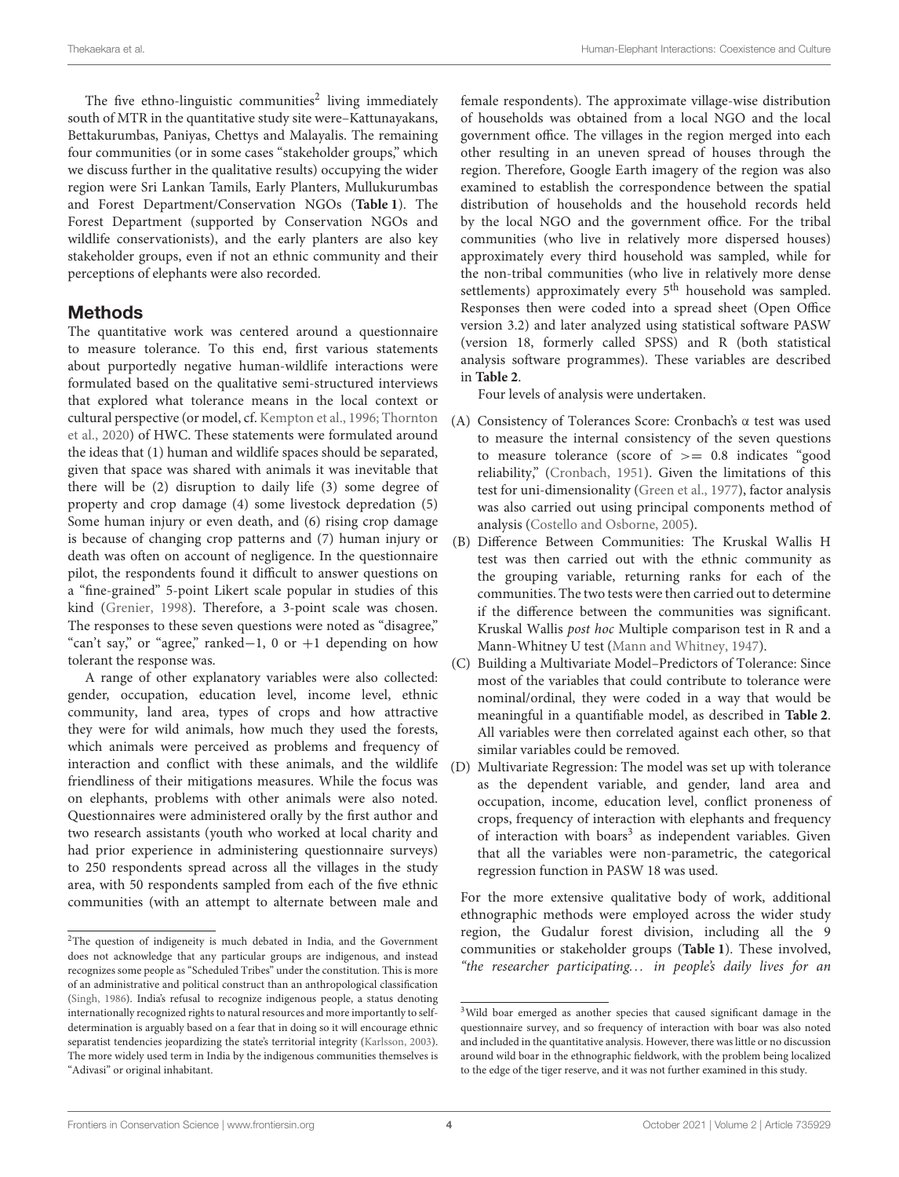The five ethno-linguistic communities<sup>[2](#page-3-0)</sup> living immediately south of MTR in the quantitative study site were–Kattunayakans, Bettakurumbas, Paniyas, Chettys and Malayalis. The remaining four communities (or in some cases "stakeholder groups," which we discuss further in the qualitative results) occupying the wider region were Sri Lankan Tamils, Early Planters, Mullukurumbas and Forest Department/Conservation NGOs (**[Table 1](#page-2-0)**). The Forest Department (supported by Conservation NGOs and wildlife conservationists), and the early planters are also key stakeholder groups, even if not an ethnic community and their perceptions of elephants were also recorded.

### Methods

The quantitative work was centered around a questionnaire to measure tolerance. To this end, first various statements about purportedly negative human-wildlife interactions were formulated based on the qualitative semi-structured interviews that explored what tolerance means in the local context or cultural perspective (or model, cf. [Kempton et al., 1996;](#page-15-16) Thornton et al., [2020\)](#page-16-13) of HWC. These statements were formulated around the ideas that (1) human and wildlife spaces should be separated, given that space was shared with animals it was inevitable that there will be (2) disruption to daily life (3) some degree of property and crop damage (4) some livestock depredation (5) Some human injury or even death, and (6) rising crop damage is because of changing crop patterns and (7) human injury or death was often on account of negligence. In the questionnaire pilot, the respondents found it difficult to answer questions on a "fine-grained" 5-point Likert scale popular in studies of this kind [\(Grenier, 1998\)](#page-15-17). Therefore, a 3-point scale was chosen. The responses to these seven questions were noted as "disagree," "can't say," or "agree," ranked−1, 0 or +1 depending on how tolerant the response was.

A range of other explanatory variables were also collected: gender, occupation, education level, income level, ethnic community, land area, types of crops and how attractive they were for wild animals, how much they used the forests, which animals were perceived as problems and frequency of interaction and conflict with these animals, and the wildlife friendliness of their mitigations measures. While the focus was on elephants, problems with other animals were also noted. Questionnaires were administered orally by the first author and two research assistants (youth who worked at local charity and had prior experience in administering questionnaire surveys) to 250 respondents spread across all the villages in the study area, with 50 respondents sampled from each of the five ethnic communities (with an attempt to alternate between male and

female respondents). The approximate village-wise distribution of households was obtained from a local NGO and the local government office. The villages in the region merged into each other resulting in an uneven spread of houses through the region. Therefore, Google Earth imagery of the region was also examined to establish the correspondence between the spatial distribution of households and the household records held by the local NGO and the government office. For the tribal communities (who live in relatively more dispersed houses) approximately every third household was sampled, while for the non-tribal communities (who live in relatively more dense settlements) approximately every 5<sup>th</sup> household was sampled. Responses then were coded into a spread sheet (Open Office version 3.2) and later analyzed using statistical software PASW (version 18, formerly called SPSS) and R (both statistical analysis software programmes). These variables are described in **[Table 2](#page-4-0)**.

Four levels of analysis were undertaken.

- (A) Consistency of Tolerances Score: Cronbach's α test was used to measure the internal consistency of the seven questions to measure tolerance (score of >= 0.8 indicates "good reliability," [\(Cronbach, 1951\)](#page-15-19). Given the limitations of this test for uni-dimensionality [\(Green et al., 1977\)](#page-15-20), factor analysis was also carried out using principal components method of analysis [\(Costello and Osborne, 2005\)](#page-15-21).
- (B) Difference Between Communities: The Kruskal Wallis H test was then carried out with the ethnic community as the grouping variable, returning ranks for each of the communities. The two tests were then carried out to determine if the difference between the communities was significant. Kruskal Wallis post hoc Multiple comparison test in R and a Mann-Whitney U test [\(Mann and Whitney, 1947\)](#page-15-22).
- (C) Building a Multivariate Model–Predictors of Tolerance: Since most of the variables that could contribute to tolerance were nominal/ordinal, they were coded in a way that would be meaningful in a quantifiable model, as described in **[Table 2](#page-4-0)**. All variables were then correlated against each other, so that similar variables could be removed.
- (D) Multivariate Regression: The model was set up with tolerance as the dependent variable, and gender, land area and occupation, income, education level, conflict proneness of crops, frequency of interaction with elephants and frequency of interaction with boars<sup>[3](#page-3-1)</sup> as independent variables. Given that all the variables were non-parametric, the categorical regression function in PASW 18 was used.

For the more extensive qualitative body of work, additional ethnographic methods were employed across the wider study region, the Gudalur forest division, including all the 9 communities or stakeholder groups (**[Table 1](#page-2-0)**). These involved, "the researcher participating. . . in people's daily lives for an

<span id="page-3-0"></span><sup>2</sup>The question of indigeneity is much debated in India, and the Government does not acknowledge that any particular groups are indigenous, and instead recognizes some people as "Scheduled Tribes" under the constitution. This is more of an administrative and political construct than an anthropological classification [\(Singh, 1986\)](#page-16-14). India's refusal to recognize indigenous people, a status denoting internationally recognized rights to natural resources and more importantly to selfdetermination is arguably based on a fear that in doing so it will encourage ethnic separatist tendencies jeopardizing the state's territorial integrity [\(Karlsson, 2003\)](#page-15-18). The more widely used term in India by the indigenous communities themselves is "Adivasi" or original inhabitant.

<span id="page-3-1"></span><sup>3</sup>Wild boar emerged as another species that caused significant damage in the questionnaire survey, and so frequency of interaction with boar was also noted and included in the quantitative analysis. However, there was little or no discussion around wild boar in the ethnographic fieldwork, with the problem being localized to the edge of the tiger reserve, and it was not further examined in this study.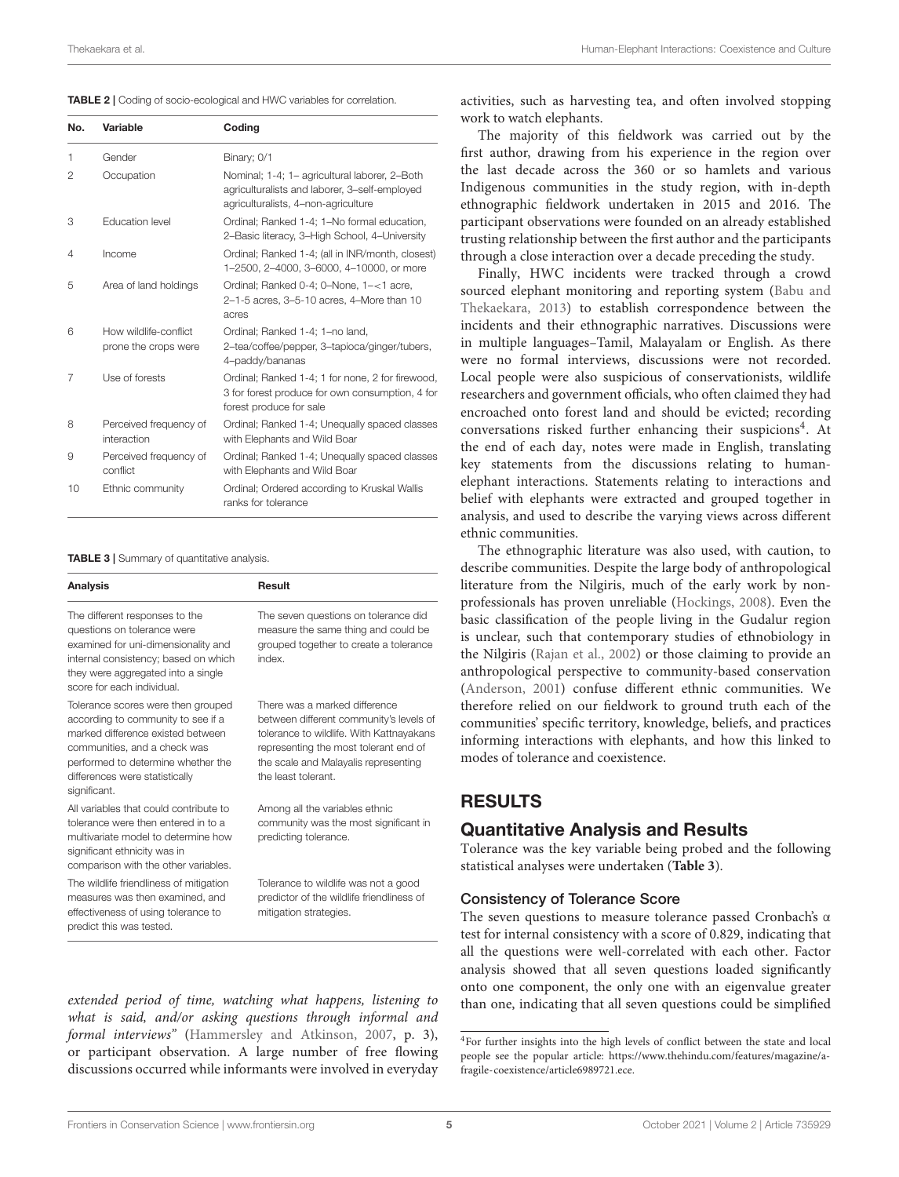<span id="page-4-0"></span>

| No. | Variable                                      | Coding                                                                                                                                |
|-----|-----------------------------------------------|---------------------------------------------------------------------------------------------------------------------------------------|
| 1   | Gender                                        | Binary; 0/1                                                                                                                           |
| 2   | Occupation                                    | Nominal; 1-4; 1- agricultural laborer, 2-Both<br>agriculturalists and laborer, 3-self-employed<br>agriculturalists, 4-non-agriculture |
| 3   | <b>Education level</b>                        | Ordinal; Ranked 1-4; 1-No formal education,<br>2-Basic literacy, 3-High School, 4-University                                          |
| 4   | Income                                        | Ordinal; Ranked 1-4; (all in INR/month, closest)<br>1-2500, 2-4000, 3-6000, 4-10000, or more                                          |
| 5   | Area of land holdings                         | Ordinal; Ranked 0-4; 0-None, 1-<1 acre,<br>2-1-5 acres, 3-5-10 acres, 4-More than 10<br>acres                                         |
| 6   | How wildlife-conflict<br>prone the crops were | Ordinal; Ranked 1-4; 1-no land,<br>2-tea/coffee/pepper, 3-tapioca/ginger/tubers,<br>4-paddy/bananas                                   |
| 7   | Use of forests                                | Ordinal; Ranked 1-4; 1 for none, 2 for firewood,<br>3 for forest produce for own consumption, 4 for<br>forest produce for sale        |
| 8   | Perceived frequency of<br>interaction         | Ordinal; Ranked 1-4; Unequally spaced classes<br>with Elephants and Wild Boar                                                         |
| 9   | Perceived frequency of<br>conflict            | Ordinal; Ranked 1-4; Unequally spaced classes<br>with Elephants and Wild Boar                                                         |
| 10  | Ethnic community                              | Ordinal; Ordered according to Kruskal Wallis<br>ranks for tolerance                                                                   |

<span id="page-4-2"></span>TABLE 3 | Summary of quantitative analysis.

| <b>Analysis</b>                                                                                                                                                                                                                       | Result                                                                                                                                                                                                                       |
|---------------------------------------------------------------------------------------------------------------------------------------------------------------------------------------------------------------------------------------|------------------------------------------------------------------------------------------------------------------------------------------------------------------------------------------------------------------------------|
| The different responses to the<br>questions on tolerance were<br>examined for uni-dimensionality and<br>internal consistency; based on which<br>they were aggregated into a single<br>score for each individual.                      | The seven questions on tolerance did<br>measure the same thing and could be<br>grouped together to create a tolerance<br>index.                                                                                              |
| Tolerance scores were then grouped<br>according to community to see if a<br>marked difference existed between<br>communities, and a check was<br>performed to determine whether the<br>differences were statistically<br>significant. | There was a marked difference<br>between different community's levels of<br>tolerance to wildlife. With Kattnayakans<br>representing the most tolerant end of<br>the scale and Malayalis representing<br>the least tolerant. |
| All variables that could contribute to<br>tolerance were then entered in to a<br>multivariate model to determine how<br>significant ethnicity was in<br>comparison with the other variables.                                          | Among all the variables ethnic<br>community was the most significant in<br>predicting tolerance.                                                                                                                             |
| The wildlife friendliness of mitigation<br>measures was then examined, and<br>effectiveness of using tolerance to<br>predict this was tested.                                                                                         | Tolerance to wildlife was not a good<br>predictor of the wildlife friendliness of<br>mitigation strategies.                                                                                                                  |

extended period of time, watching what happens, listening to what is said, and/or asking questions through informal and formal interviews" [\(Hammersley and Atkinson, 2007,](#page-15-23) p. 3), or participant observation. A large number of free flowing discussions occurred while informants were involved in everyday activities, such as harvesting tea, and often involved stopping work to watch elephants.

The majority of this fieldwork was carried out by the first author, drawing from his experience in the region over the last decade across the 360 or so hamlets and various Indigenous communities in the study region, with in-depth ethnographic fieldwork undertaken in 2015 and 2016. The participant observations were founded on an already established trusting relationship between the first author and the participants through a close interaction over a decade preceding the study.

Finally, HWC incidents were tracked through a crowd sourced elephant monitoring and reporting system (Babu and Thekaekara, [2013\)](#page-15-24) to establish correspondence between the incidents and their ethnographic narratives. Discussions were in multiple languages–Tamil, Malayalam or English. As there were no formal interviews, discussions were not recorded. Local people were also suspicious of conservationists, wildlife researchers and government officials, who often claimed they had encroached onto forest land and should be evicted; recording conversations risked further enhancing their suspicions<sup>[4](#page-4-1)</sup>. At the end of each day, notes were made in English, translating key statements from the discussions relating to humanelephant interactions. Statements relating to interactions and belief with elephants were extracted and grouped together in analysis, and used to describe the varying views across different ethnic communities.

The ethnographic literature was also used, with caution, to describe communities. Despite the large body of anthropological literature from the Nilgiris, much of the early work by nonprofessionals has proven unreliable [\(Hockings, 2008\)](#page-15-14). Even the basic classification of the people living in the Gudalur region is unclear, such that contemporary studies of ethnobiology in the Nilgiris [\(Rajan et al., 2002\)](#page-16-15) or those claiming to provide an anthropological perspective to community-based conservation [\(Anderson, 2001\)](#page-15-25) confuse different ethnic communities. We therefore relied on our fieldwork to ground truth each of the communities' specific territory, knowledge, beliefs, and practices informing interactions with elephants, and how this linked to modes of tolerance and coexistence.

### RESULTS

### Quantitative Analysis and Results

Tolerance was the key variable being probed and the following statistical analyses were undertaken (**[Table 3](#page-4-2)**).

### Consistency of Tolerance Score

The seven questions to measure tolerance passed Cronbach's α test for internal consistency with a score of 0.829, indicating that all the questions were well-correlated with each other. Factor analysis showed that all seven questions loaded significantly onto one component, the only one with an eigenvalue greater than one, indicating that all seven questions could be simplified

<span id="page-4-1"></span><sup>4</sup>For further insights into the high levels of conflict between the state and local people see the popular article: [https://www.thehindu.com/features/magazine/a](https://www.thehindu.com/features/magazine/a-fragile-coexistence/article6989721.ece)[fragile-coexistence/article6989721.ece.](https://www.thehindu.com/features/magazine/a-fragile-coexistence/article6989721.ece)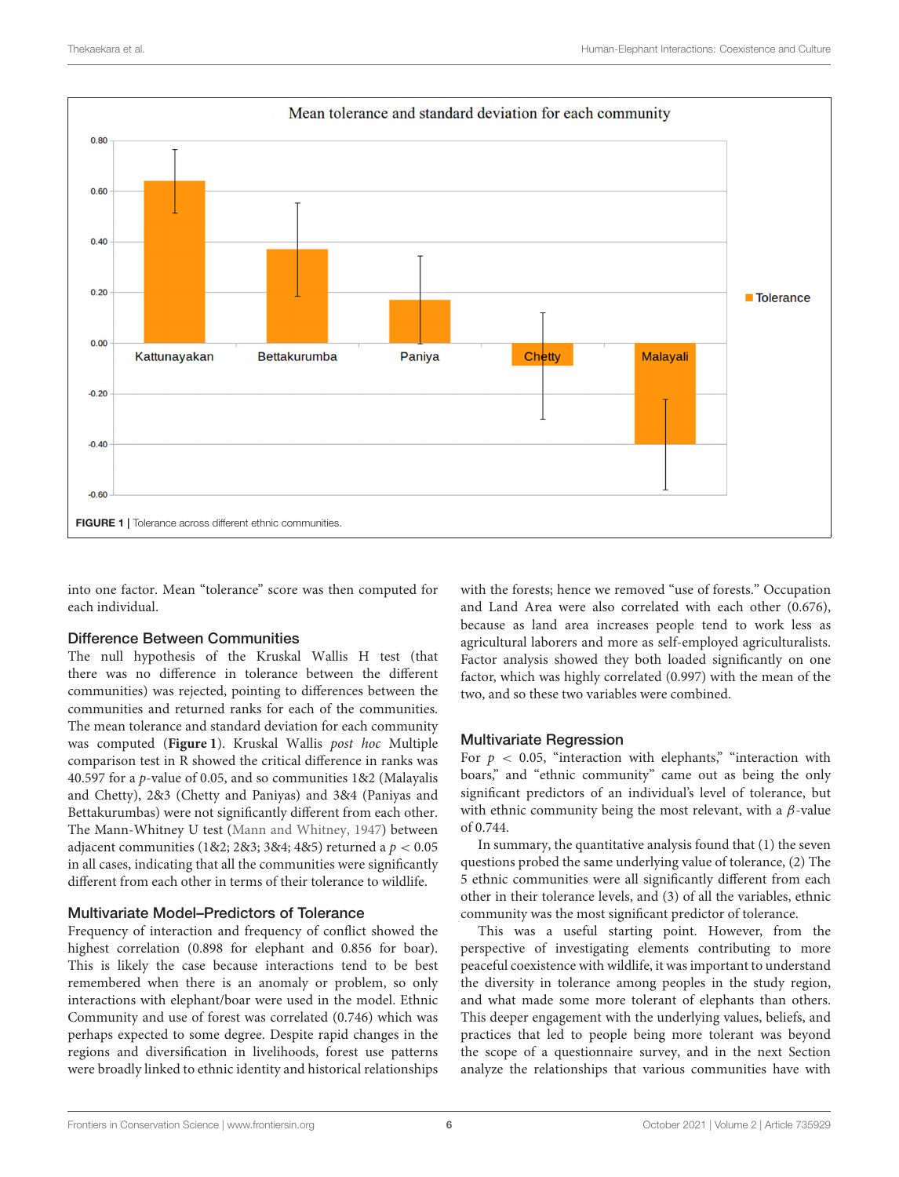

<span id="page-5-0"></span>into one factor. Mean "tolerance" score was then computed for each individual.

#### Difference Between Communities

The null hypothesis of the Kruskal Wallis H test (that there was no difference in tolerance between the different communities) was rejected, pointing to differences between the communities and returned ranks for each of the communities. The mean tolerance and standard deviation for each community was computed (**[Figure 1](#page-5-0)**). Kruskal Wallis post hoc Multiple comparison test in R showed the critical difference in ranks was 40.597 for a p-value of 0.05, and so communities 1&2 (Malayalis and Chetty), 2&3 (Chetty and Paniyas) and 3&4 (Paniyas and Bettakurumbas) were not significantly different from each other. The Mann-Whitney U test [\(Mann and Whitney, 1947\)](#page-15-22) between adjacent communities (1&2; 2&3; 3&4; 4&5) returned a  $p < 0.05$ in all cases, indicating that all the communities were significantly different from each other in terms of their tolerance to wildlife.

### Multivariate Model–Predictors of Tolerance

Frequency of interaction and frequency of conflict showed the highest correlation (0.898 for elephant and 0.856 for boar). This is likely the case because interactions tend to be best remembered when there is an anomaly or problem, so only interactions with elephant/boar were used in the model. Ethnic Community and use of forest was correlated (0.746) which was perhaps expected to some degree. Despite rapid changes in the regions and diversification in livelihoods, forest use patterns were broadly linked to ethnic identity and historical relationships with the forests; hence we removed "use of forests." Occupation and Land Area were also correlated with each other (0.676), because as land area increases people tend to work less as agricultural laborers and more as self-employed agriculturalists. Factor analysis showed they both loaded significantly on one factor, which was highly correlated (0.997) with the mean of the two, and so these two variables were combined.

### Multivariate Regression

For  $p < 0.05$ , "interaction with elephants," "interaction with boars," and "ethnic community" came out as being the only significant predictors of an individual's level of tolerance, but with ethnic community being the most relevant, with a  $\beta$ -value of 0.744.

In summary, the quantitative analysis found that (1) the seven questions probed the same underlying value of tolerance, (2) The 5 ethnic communities were all significantly different from each other in their tolerance levels, and (3) of all the variables, ethnic community was the most significant predictor of tolerance.

This was a useful starting point. However, from the perspective of investigating elements contributing to more peaceful coexistence with wildlife, it was important to understand the diversity in tolerance among peoples in the study region, and what made some more tolerant of elephants than others. This deeper engagement with the underlying values, beliefs, and practices that led to people being more tolerant was beyond the scope of a questionnaire survey, and in the next Section analyze the relationships that various communities have with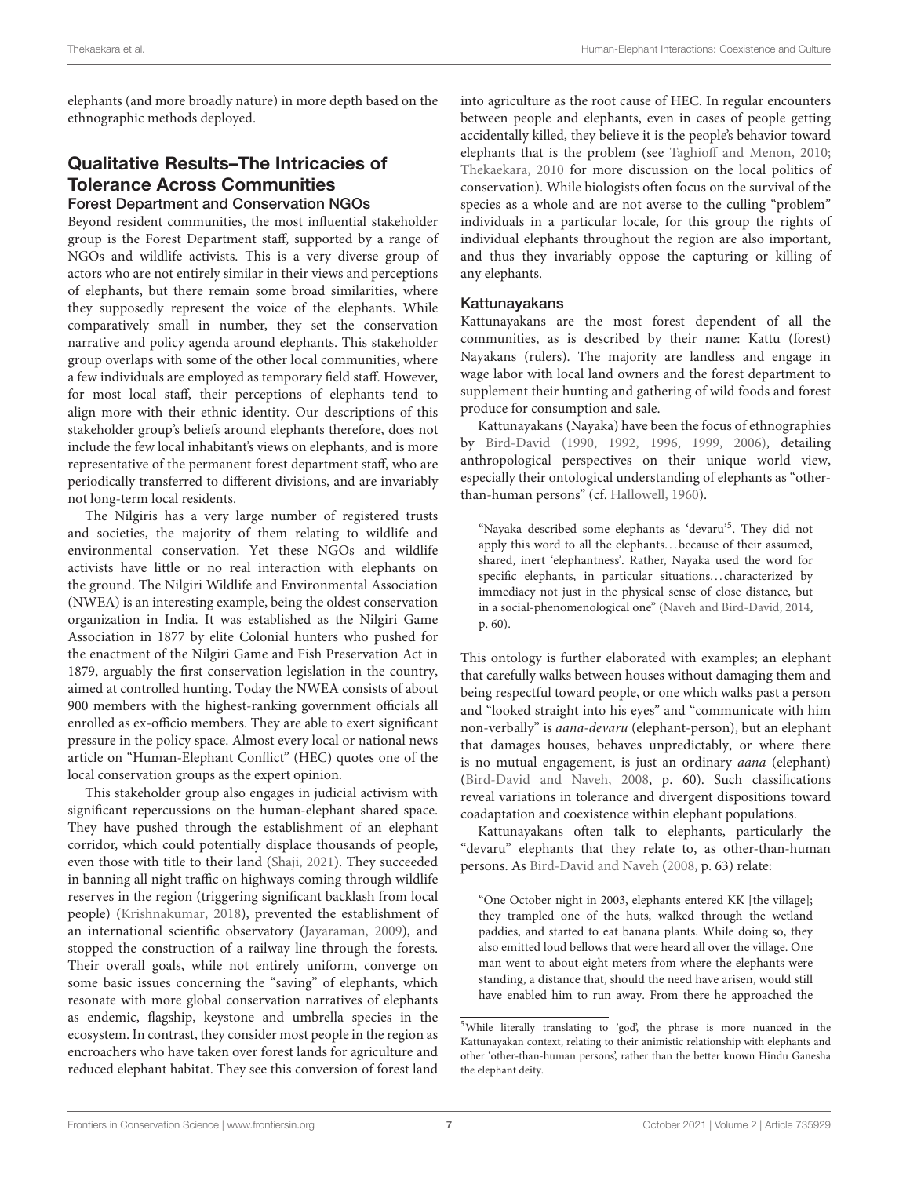elephants (and more broadly nature) in more depth based on the ethnographic methods deployed.

### Qualitative Results–The Intricacies of Tolerance Across Communities Forest Department and Conservation NGOs

Beyond resident communities, the most influential stakeholder group is the Forest Department staff, supported by a range of NGOs and wildlife activists. This is a very diverse group of actors who are not entirely similar in their views and perceptions of elephants, but there remain some broad similarities, where they supposedly represent the voice of the elephants. While comparatively small in number, they set the conservation narrative and policy agenda around elephants. This stakeholder group overlaps with some of the other local communities, where a few individuals are employed as temporary field staff. However, for most local staff, their perceptions of elephants tend to align more with their ethnic identity. Our descriptions of this stakeholder group's beliefs around elephants therefore, does not include the few local inhabitant's views on elephants, and is more representative of the permanent forest department staff, who are periodically transferred to different divisions, and are invariably not long-term local residents.

The Nilgiris has a very large number of registered trusts and societies, the majority of them relating to wildlife and environmental conservation. Yet these NGOs and wildlife activists have little or no real interaction with elephants on the ground. The Nilgiri Wildlife and Environmental Association (NWEA) is an interesting example, being the oldest conservation organization in India. It was established as the Nilgiri Game Association in 1877 by elite Colonial hunters who pushed for the enactment of the Nilgiri Game and Fish Preservation Act in 1879, arguably the first conservation legislation in the country, aimed at controlled hunting. Today the NWEA consists of about 900 members with the highest-ranking government officials all enrolled as ex-officio members. They are able to exert significant pressure in the policy space. Almost every local or national news article on "Human-Elephant Conflict" (HEC) quotes one of the local conservation groups as the expert opinion.

This stakeholder group also engages in judicial activism with significant repercussions on the human-elephant shared space. They have pushed through the establishment of an elephant corridor, which could potentially displace thousands of people, even those with title to their land [\(Shaji, 2021\)](#page-16-16). They succeeded in banning all night traffic on highways coming through wildlife reserves in the region (triggering significant backlash from local people) [\(Krishnakumar, 2018\)](#page-15-26), prevented the establishment of an international scientific observatory [\(Jayaraman, 2009\)](#page-15-27), and stopped the construction of a railway line through the forests. Their overall goals, while not entirely uniform, converge on some basic issues concerning the "saving" of elephants, which resonate with more global conservation narratives of elephants as endemic, flagship, keystone and umbrella species in the ecosystem. In contrast, they consider most people in the region as encroachers who have taken over forest lands for agriculture and reduced elephant habitat. They see this conversion of forest land

into agriculture as the root cause of HEC. In regular encounters between people and elephants, even in cases of people getting accidentally killed, they believe it is the people's behavior toward elephants that is the problem (see [Taghioff and Menon, 2010;](#page-16-17) [Thekaekara, 2010](#page-16-18) for more discussion on the local politics of conservation). While biologists often focus on the survival of the species as a whole and are not averse to the culling "problem" individuals in a particular locale, for this group the rights of individual elephants throughout the region are also important, and thus they invariably oppose the capturing or killing of any elephants.

### Kattunayakans

Kattunayakans are the most forest dependent of all the communities, as is described by their name: Kattu (forest) Nayakans (rulers). The majority are landless and engage in wage labor with local land owners and the forest department to supplement their hunting and gathering of wild foods and forest produce for consumption and sale.

Kattunayakans (Nayaka) have been the focus of ethnographies by [Bird-David \(1990,](#page-15-28) [1992,](#page-15-29) [1996,](#page-15-30) [1999,](#page-15-31) [2006\)](#page-15-32), detailing anthropological perspectives on their unique world view, especially their ontological understanding of elephants as "otherthan-human persons" (cf. [Hallowell, 1960\)](#page-15-33).

"Nayaka described some elephants as 'devaru'[5](#page-6-0) . They did not apply this word to all the elephants...because of their assumed, shared, inert 'elephantness'. Rather, Nayaka used the word for specific elephants, in particular situations...characterized by immediacy not just in the physical sense of close distance, but in a social-phenomenological one" [\(Naveh and Bird-David, 2014,](#page-16-19) p. 60).

This ontology is further elaborated with examples; an elephant that carefully walks between houses without damaging them and being respectful toward people, or one which walks past a person and "looked straight into his eyes" and "communicate with him non-verbally" is aana-devaru (elephant-person), but an elephant that damages houses, behaves unpredictably, or where there is no mutual engagement, is just an ordinary aana (elephant) [\(Bird-David and Naveh, 2008,](#page-15-34) p. 60). Such classifications reveal variations in tolerance and divergent dispositions toward coadaptation and coexistence within elephant populations.

Kattunayakans often talk to elephants, particularly the "devaru" elephants that they relate to, as other-than-human persons. As [Bird-David and Naveh](#page-15-34) [\(2008,](#page-15-34) p. 63) relate:

"One October night in 2003, elephants entered KK [the village]; they trampled one of the huts, walked through the wetland paddies, and started to eat banana plants. While doing so, they also emitted loud bellows that were heard all over the village. One man went to about eight meters from where the elephants were standing, a distance that, should the need have arisen, would still have enabled him to run away. From there he approached the

<span id="page-6-0"></span><sup>5</sup>While literally translating to 'god', the phrase is more nuanced in the Kattunayakan context, relating to their animistic relationship with elephants and other 'other-than-human persons', rather than the better known Hindu Ganesha the elephant deity.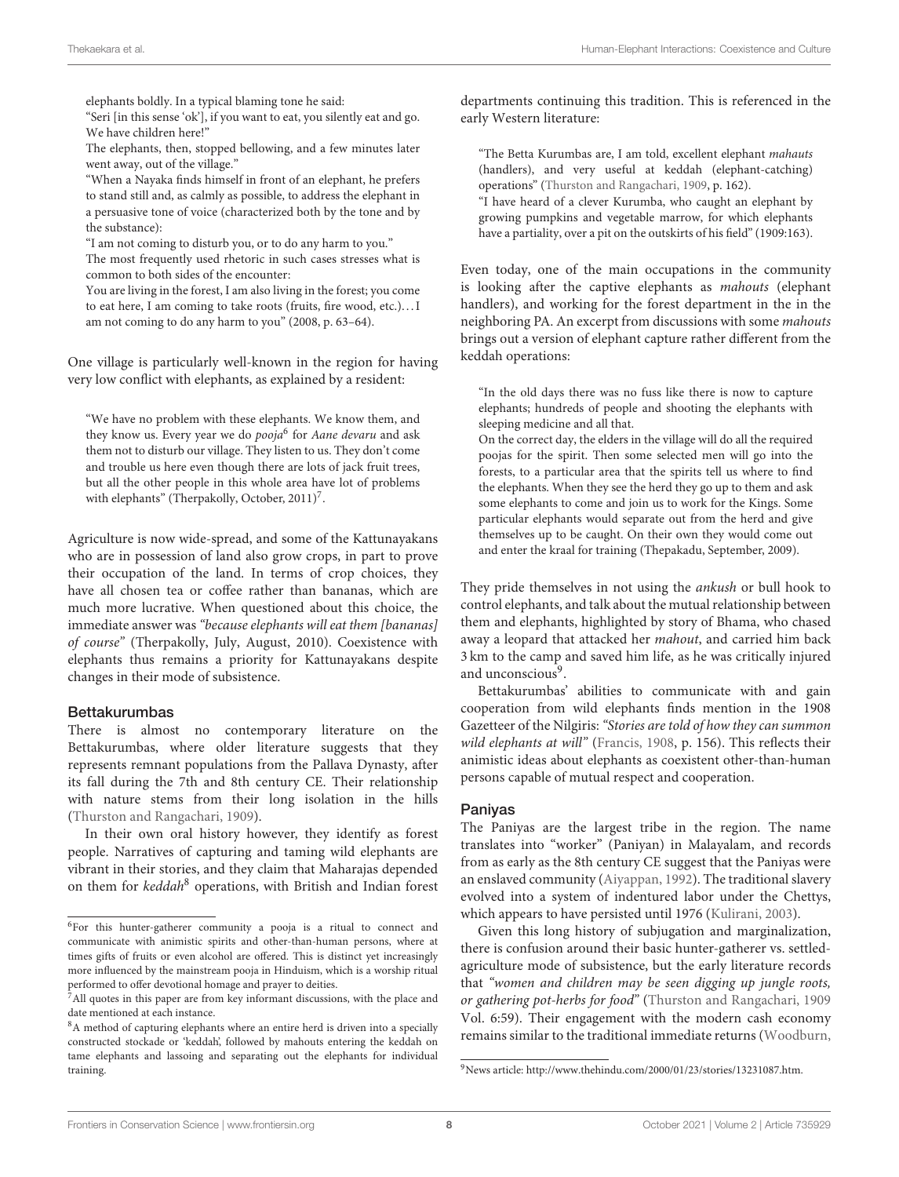elephants boldly. In a typical blaming tone he said:

"Seri [in this sense 'ok'], if you want to eat, you silently eat and go. We have children here!"

The elephants, then, stopped bellowing, and a few minutes later went away, out of the village."

"When a Nayaka finds himself in front of an elephant, he prefers to stand still and, as calmly as possible, to address the elephant in a persuasive tone of voice (characterized both by the tone and by the substance):

"I am not coming to disturb you, or to do any harm to you."

The most frequently used rhetoric in such cases stresses what is common to both sides of the encounter:

You are living in the forest, I am also living in the forest; you come to eat here, I am coming to take roots (fruits, fire wood, etc.). . . I am not coming to do any harm to you" (2008, p. 63–64).

One village is particularly well-known in the region for having very low conflict with elephants, as explained by a resident:

"We have no problem with these elephants. We know them, and they know us. Every year we do *pooja*<sup>[6](#page-7-0)</sup> for *Aane devaru* and ask them not to disturb our village. They listen to us. They don't come and trouble us here even though there are lots of jack fruit trees, but all the other people in this whole area have lot of problems with elephants" (Therpakolly, October, 2011)<sup>[7](#page-7-1)</sup>.

Agriculture is now wide-spread, and some of the Kattunayakans who are in possession of land also grow crops, in part to prove their occupation of the land. In terms of crop choices, they have all chosen tea or coffee rather than bananas, which are much more lucrative. When questioned about this choice, the immediate answer was "because elephants will eat them [bananas] of course" (Therpakolly, July, August, 2010). Coexistence with elephants thus remains a priority for Kattunayakans despite changes in their mode of subsistence.

#### Bettakurumbas

There is almost no contemporary literature on the Bettakurumbas, where older literature suggests that they represents remnant populations from the Pallava Dynasty, after its fall during the 7th and 8th century CE. Their relationship with nature stems from their long isolation in the hills [\(Thurston and Rangachari, 1909\)](#page-16-20).

In their own oral history however, they identify as forest people. Narratives of capturing and taming wild elephants are vibrant in their stories, and they claim that Maharajas depended on them for keddah<sup>[8](#page-7-2)</sup> operations, with British and Indian forest departments continuing this tradition. This is referenced in the early Western literature:

"The Betta Kurumbas are, I am told, excellent elephant mahauts (handlers), and very useful at keddah (elephant-catching) operations" [\(Thurston and Rangachari, 1909,](#page-16-20) p. 162).

"I have heard of a clever Kurumba, who caught an elephant by growing pumpkins and vegetable marrow, for which elephants have a partiality, over a pit on the outskirts of his field" (1909:163).

Even today, one of the main occupations in the community is looking after the captive elephants as mahouts (elephant handlers), and working for the forest department in the in the neighboring PA. An excerpt from discussions with some mahouts brings out a version of elephant capture rather different from the keddah operations:

"In the old days there was no fuss like there is now to capture elephants; hundreds of people and shooting the elephants with sleeping medicine and all that.

On the correct day, the elders in the village will do all the required poojas for the spirit. Then some selected men will go into the forests, to a particular area that the spirits tell us where to find the elephants. When they see the herd they go up to them and ask some elephants to come and join us to work for the Kings. Some particular elephants would separate out from the herd and give themselves up to be caught. On their own they would come out and enter the kraal for training (Thepakadu, September, 2009).

They pride themselves in not using the ankush or bull hook to control elephants, and talk about the mutual relationship between them and elephants, highlighted by story of Bhama, who chased away a leopard that attacked her mahout, and carried him back 3 km to the camp and saved him life, as he was critically injured and unconscious<sup>[9](#page-7-3)</sup>.

Bettakurumbas' abilities to communicate with and gain cooperation from wild elephants finds mention in the 1908 Gazetteer of the Nilgiris:"Stories are told of how they can summon wild elephants at will" [\(Francis, 1908,](#page-15-35) p. 156). This reflects their animistic ideas about elephants as coexistent other-than-human persons capable of mutual respect and cooperation.

#### Paniyas

The Paniyas are the largest tribe in the region. The name translates into "worker" (Paniyan) in Malayalam, and records from as early as the 8th century CE suggest that the Paniyas were an enslaved community [\(Aiyappan, 1992\)](#page-15-36). The traditional slavery evolved into a system of indentured labor under the Chettys, which appears to have persisted until 1976 [\(Kulirani, 2003\)](#page-15-37).

Given this long history of subjugation and marginalization, there is confusion around their basic hunter-gatherer vs. settledagriculture mode of subsistence, but the early literature records that "women and children may be seen digging up jungle roots, or gathering pot-herbs for food" [\(Thurston and Rangachari, 1909](#page-16-20) Vol. 6:59). Their engagement with the modern cash economy remains similar to the traditional immediate returns [\(Woodburn,](#page-16-21)

<span id="page-7-0"></span> ${}^{6}$ For this hunter-gatherer community a pooja is a ritual to connect and communicate with animistic spirits and other-than-human persons, where at times gifts of fruits or even alcohol are offered. This is distinct yet increasingly more influenced by the mainstream pooja in Hinduism, which is a worship ritual performed to offer devotional homage and prayer to deities.

<span id="page-7-1"></span><sup>&</sup>lt;sup>7</sup>All quotes in this paper are from key informant discussions, with the place and date mentioned at each instance.

<span id="page-7-2"></span><sup>&</sup>lt;sup>8</sup>A method of capturing elephants where an entire herd is driven into a specially constructed stockade or 'keddah', followed by mahouts entering the keddah on tame elephants and lassoing and separating out the elephants for individual training.

<span id="page-7-3"></span><sup>9</sup>News article: [http://www.thehindu.com/2000/01/23/stories/13231087.htm.](http://www.thehindu.com/2000/01/23/stories/13231087.htm)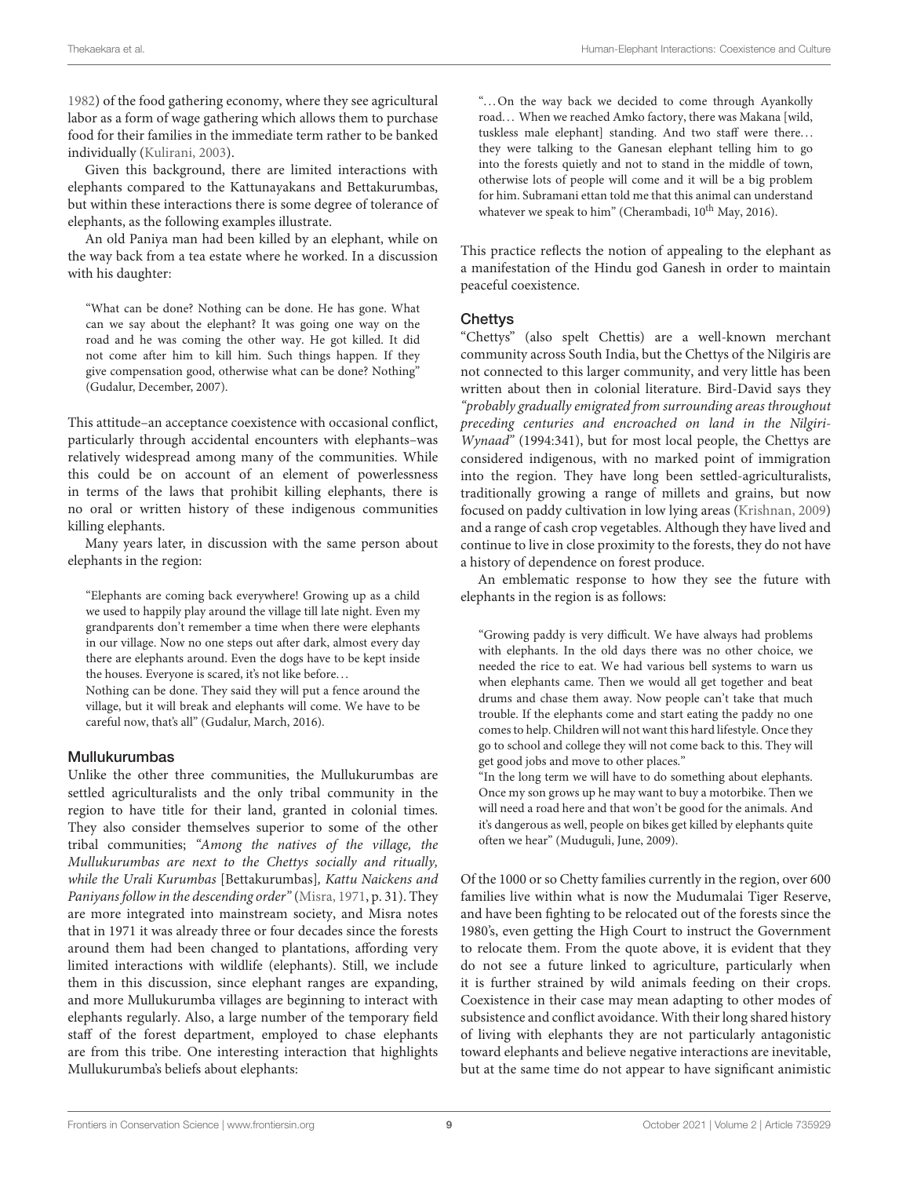[1982\)](#page-16-21) of the food gathering economy, where they see agricultural labor as a form of wage gathering which allows them to purchase food for their families in the immediate term rather to be banked individually [\(Kulirani, 2003\)](#page-15-37).

Given this background, there are limited interactions with elephants compared to the Kattunayakans and Bettakurumbas, but within these interactions there is some degree of tolerance of elephants, as the following examples illustrate.

An old Paniya man had been killed by an elephant, while on the way back from a tea estate where he worked. In a discussion with his daughter:

"What can be done? Nothing can be done. He has gone. What can we say about the elephant? It was going one way on the road and he was coming the other way. He got killed. It did not come after him to kill him. Such things happen. If they give compensation good, otherwise what can be done? Nothing" (Gudalur, December, 2007).

This attitude–an acceptance coexistence with occasional conflict, particularly through accidental encounters with elephants–was relatively widespread among many of the communities. While this could be on account of an element of powerlessness in terms of the laws that prohibit killing elephants, there is no oral or written history of these indigenous communities killing elephants.

Many years later, in discussion with the same person about elephants in the region:

"Elephants are coming back everywhere! Growing up as a child we used to happily play around the village till late night. Even my grandparents don't remember a time when there were elephants in our village. Now no one steps out after dark, almost every day there are elephants around. Even the dogs have to be kept inside the houses. Everyone is scared, it's not like before. . .

Nothing can be done. They said they will put a fence around the village, but it will break and elephants will come. We have to be careful now, that's all" (Gudalur, March, 2016).

### Mullukurumbas

Unlike the other three communities, the Mullukurumbas are settled agriculturalists and the only tribal community in the region to have title for their land, granted in colonial times. They also consider themselves superior to some of the other tribal communities; "Among the natives of the village, the Mullukurumbas are next to the Chettys socially and ritually, while the Urali Kurumbas [Bettakurumbas], Kattu Naickens and Paniyans follow in the descending order" [\(Misra, 1971,](#page-16-22) p. 31). They are more integrated into mainstream society, and Misra notes that in 1971 it was already three or four decades since the forests around them had been changed to plantations, affording very limited interactions with wildlife (elephants). Still, we include them in this discussion, since elephant ranges are expanding, and more Mullukurumba villages are beginning to interact with elephants regularly. Also, a large number of the temporary field staff of the forest department, employed to chase elephants are from this tribe. One interesting interaction that highlights Mullukurumba's beliefs about elephants:

"...On the way back we decided to come through Ayankolly road. . . When we reached Amko factory, there was Makana [wild, tuskless male elephant] standing. And two staff were there... they were talking to the Ganesan elephant telling him to go into the forests quietly and not to stand in the middle of town, otherwise lots of people will come and it will be a big problem for him. Subramani ettan told me that this animal can understand whatever we speak to him" (Cherambadi,  $10^{th}$  May, 2016).

This practice reflects the notion of appealing to the elephant as a manifestation of the Hindu god Ganesh in order to maintain peaceful coexistence.

### **Chettys**

"Chettys" (also spelt Chettis) are a well-known merchant community across South India, but the Chettys of the Nilgiris are not connected to this larger community, and very little has been written about then in colonial literature. Bird-David says they "probably gradually emigrated from surrounding areas throughout preceding centuries and encroached on land in the Nilgiri-Wynaad" (1994:341), but for most local people, the Chettys are considered indigenous, with no marked point of immigration into the region. They have long been settled-agriculturalists, traditionally growing a range of millets and grains, but now focused on paddy cultivation in low lying areas [\(Krishnan, 2009\)](#page-15-38) and a range of cash crop vegetables. Although they have lived and continue to live in close proximity to the forests, they do not have a history of dependence on forest produce.

An emblematic response to how they see the future with elephants in the region is as follows:

"Growing paddy is very difficult. We have always had problems with elephants. In the old days there was no other choice, we needed the rice to eat. We had various bell systems to warn us when elephants came. Then we would all get together and beat drums and chase them away. Now people can't take that much trouble. If the elephants come and start eating the paddy no one comes to help. Children will not want this hard lifestyle. Once they go to school and college they will not come back to this. They will get good jobs and move to other places."

"In the long term we will have to do something about elephants. Once my son grows up he may want to buy a motorbike. Then we will need a road here and that won't be good for the animals. And it's dangerous as well, people on bikes get killed by elephants quite often we hear" (Muduguli, June, 2009).

Of the 1000 or so Chetty families currently in the region, over 600 families live within what is now the Mudumalai Tiger Reserve, and have been fighting to be relocated out of the forests since the 1980's, even getting the High Court to instruct the Government to relocate them. From the quote above, it is evident that they do not see a future linked to agriculture, particularly when it is further strained by wild animals feeding on their crops. Coexistence in their case may mean adapting to other modes of subsistence and conflict avoidance. With their long shared history of living with elephants they are not particularly antagonistic toward elephants and believe negative interactions are inevitable, but at the same time do not appear to have significant animistic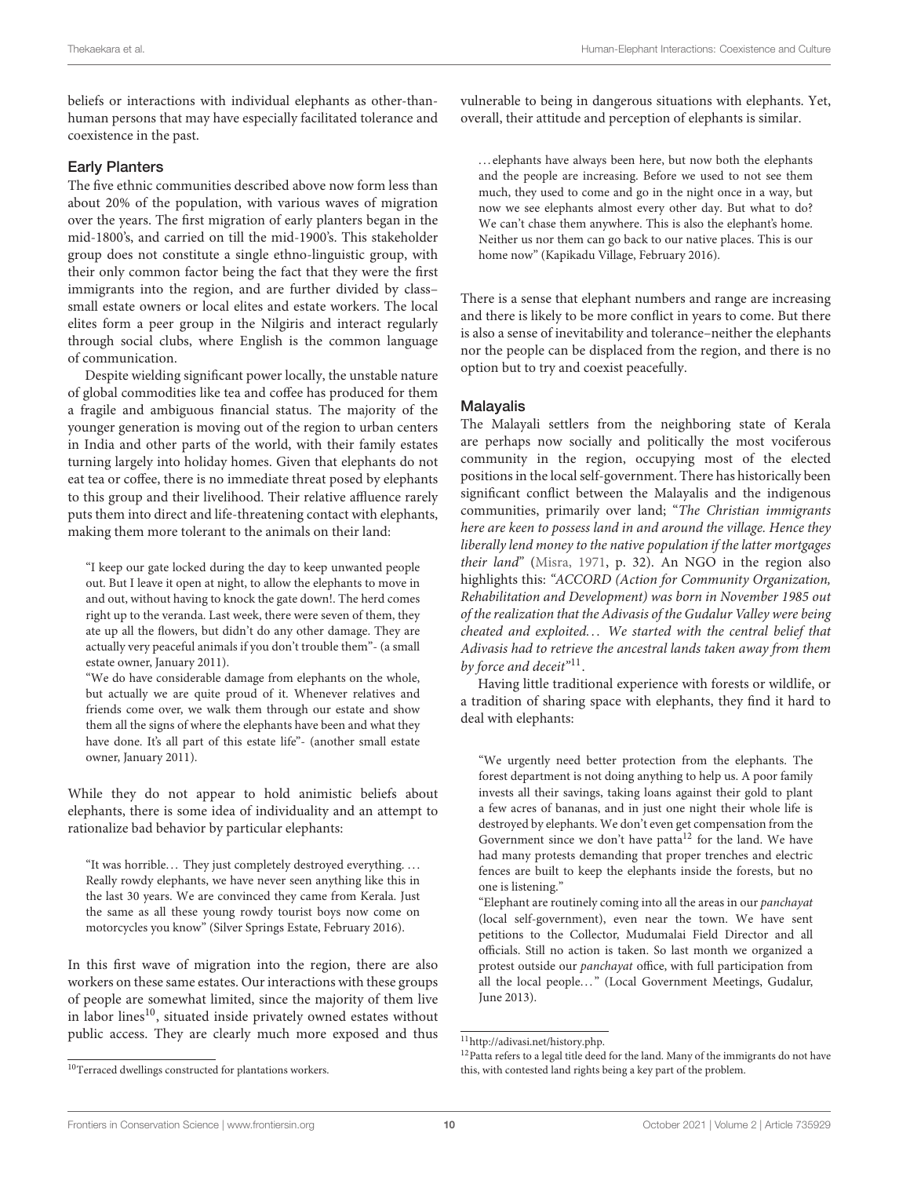beliefs or interactions with individual elephants as other-thanhuman persons that may have especially facilitated tolerance and coexistence in the past.

#### Early Planters

The five ethnic communities described above now form less than about 20% of the population, with various waves of migration over the years. The first migration of early planters began in the mid-1800's, and carried on till the mid-1900's. This stakeholder group does not constitute a single ethno-linguistic group, with their only common factor being the fact that they were the first immigrants into the region, and are further divided by class– small estate owners or local elites and estate workers. The local elites form a peer group in the Nilgiris and interact regularly through social clubs, where English is the common language of communication.

Despite wielding significant power locally, the unstable nature of global commodities like tea and coffee has produced for them a fragile and ambiguous financial status. The majority of the younger generation is moving out of the region to urban centers in India and other parts of the world, with their family estates turning largely into holiday homes. Given that elephants do not eat tea or coffee, there is no immediate threat posed by elephants to this group and their livelihood. Their relative affluence rarely puts them into direct and life-threatening contact with elephants, making them more tolerant to the animals on their land:

"I keep our gate locked during the day to keep unwanted people out. But I leave it open at night, to allow the elephants to move in and out, without having to knock the gate down!. The herd comes right up to the veranda. Last week, there were seven of them, they ate up all the flowers, but didn't do any other damage. They are actually very peaceful animals if you don't trouble them"- (a small estate owner, January 2011).

"We do have considerable damage from elephants on the whole, but actually we are quite proud of it. Whenever relatives and friends come over, we walk them through our estate and show them all the signs of where the elephants have been and what they have done. It's all part of this estate life"- (another small estate owner, January 2011).

While they do not appear to hold animistic beliefs about elephants, there is some idea of individuality and an attempt to rationalize bad behavior by particular elephants:

"It was horrible... They just completely destroyed everything.... Really rowdy elephants, we have never seen anything like this in the last 30 years. We are convinced they came from Kerala. Just the same as all these young rowdy tourist boys now come on motorcycles you know" (Silver Springs Estate, February 2016).

In this first wave of migration into the region, there are also workers on these same estates. Our interactions with these groups of people are somewhat limited, since the majority of them live in labor lines $^{10}$  $^{10}$  $^{10}$ , situated inside privately owned estates without public access. They are clearly much more exposed and thus

<span id="page-9-0"></span> $^{10}\mathrm{Terraced}$  dwellings constructed for plantations workers.

vulnerable to being in dangerous situations with elephants. Yet, overall, their attitude and perception of elephants is similar.

. . . elephants have always been here, but now both the elephants and the people are increasing. Before we used to not see them much, they used to come and go in the night once in a way, but now we see elephants almost every other day. But what to do? We can't chase them anywhere. This is also the elephant's home. Neither us nor them can go back to our native places. This is our home now" (Kapikadu Village, February 2016).

There is a sense that elephant numbers and range are increasing and there is likely to be more conflict in years to come. But there is also a sense of inevitability and tolerance–neither the elephants nor the people can be displaced from the region, and there is no option but to try and coexist peacefully.

#### Malayalis

The Malayali settlers from the neighboring state of Kerala are perhaps now socially and politically the most vociferous community in the region, occupying most of the elected positions in the local self-government. There has historically been significant conflict between the Malayalis and the indigenous communities, primarily over land; "The Christian immigrants here are keen to possess land in and around the village. Hence they liberally lend money to the native population if the latter mortgages their land" [\(Misra, 1971,](#page-16-22) p. 32). An NGO in the region also highlights this: "ACCORD (Action for Community Organization, Rehabilitation and Development) was born in November 1985 out of the realization that the Adivasis of the Gudalur Valley were being cheated and exploited... We started with the central belief that Adivasis had to retrieve the ancestral lands taken away from them by force and deceit"<sup>[11](#page-9-1)</sup>.

Having little traditional experience with forests or wildlife, or a tradition of sharing space with elephants, they find it hard to deal with elephants:

"We urgently need better protection from the elephants. The forest department is not doing anything to help us. A poor family invests all their savings, taking loans against their gold to plant a few acres of bananas, and in just one night their whole life is destroyed by elephants. We don't even get compensation from the Government since we don't have patta<sup>[12](#page-9-2)</sup> for the land. We have had many protests demanding that proper trenches and electric fences are built to keep the elephants inside the forests, but no one is listening."

"Elephant are routinely coming into all the areas in our panchayat (local self-government), even near the town. We have sent petitions to the Collector, Mudumalai Field Director and all officials. Still no action is taken. So last month we organized a protest outside our panchayat office, with full participation from all the local people..." (Local Government Meetings, Gudalur, June 2013).

<span id="page-9-1"></span><sup>11</sup>[http://adivasi.net/history.php.](http://adivasi.net/history.php)

<span id="page-9-2"></span><sup>&</sup>lt;sup>12</sup>Patta refers to a legal title deed for the land. Many of the immigrants do not have this, with contested land rights being a key part of the problem.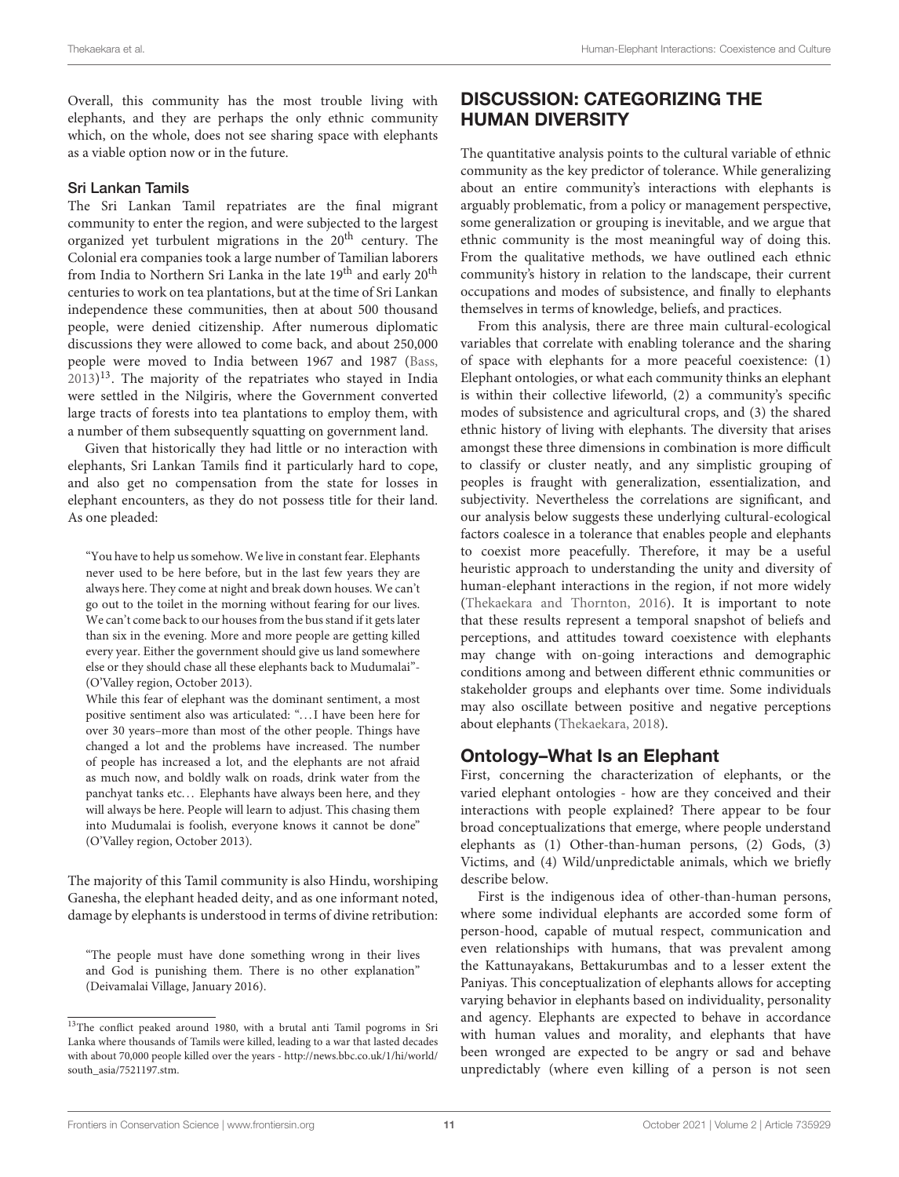Overall, this community has the most trouble living with elephants, and they are perhaps the only ethnic community which, on the whole, does not see sharing space with elephants as a viable option now or in the future.

#### Sri Lankan Tamils

The Sri Lankan Tamil repatriates are the final migrant community to enter the region, and were subjected to the largest organized yet turbulent migrations in the 20<sup>th</sup> century. The Colonial era companies took a large number of Tamilian laborers from India to Northern Sri Lanka in the late 19<sup>th</sup> and early 20<sup>th</sup> centuries to work on tea plantations, but at the time of Sri Lankan independence these communities, then at about 500 thousand people, were denied citizenship. After numerous diplomatic discussions they were allowed to come back, and about 250,000 people were moved to India between 1967 and 1987 [\(Bass,](#page-15-39)  $(2013)^{13}$  $(2013)^{13}$  $(2013)^{13}$  $(2013)^{13}$  $(2013)^{13}$ . The majority of the repatriates who stayed in India were settled in the Nilgiris, where the Government converted large tracts of forests into tea plantations to employ them, with a number of them subsequently squatting on government land.

Given that historically they had little or no interaction with elephants, Sri Lankan Tamils find it particularly hard to cope, and also get no compensation from the state for losses in elephant encounters, as they do not possess title for their land. As one pleaded:

"You have to help us somehow. We live in constant fear. Elephants never used to be here before, but in the last few years they are always here. They come at night and break down houses. We can't go out to the toilet in the morning without fearing for our lives. We can't come back to our houses from the bus stand if it gets later than six in the evening. More and more people are getting killed every year. Either the government should give us land somewhere else or they should chase all these elephants back to Mudumalai"- (O'Valley region, October 2013).

While this fear of elephant was the dominant sentiment, a most positive sentiment also was articulated: ". . . I have been here for over 30 years–more than most of the other people. Things have changed a lot and the problems have increased. The number of people has increased a lot, and the elephants are not afraid as much now, and boldly walk on roads, drink water from the panchyat tanks etc... Elephants have always been here, and they will always be here. People will learn to adjust. This chasing them into Mudumalai is foolish, everyone knows it cannot be done" (O'Valley region, October 2013).

The majority of this Tamil community is also Hindu, worshiping Ganesha, the elephant headed deity, and as one informant noted, damage by elephants is understood in terms of divine retribution:

"The people must have done something wrong in their lives and God is punishing them. There is no other explanation" (Deivamalai Village, January 2016).

# DISCUSSION: CATEGORIZING THE HUMAN DIVERSITY

The quantitative analysis points to the cultural variable of ethnic community as the key predictor of tolerance. While generalizing about an entire community's interactions with elephants is arguably problematic, from a policy or management perspective, some generalization or grouping is inevitable, and we argue that ethnic community is the most meaningful way of doing this. From the qualitative methods, we have outlined each ethnic community's history in relation to the landscape, their current occupations and modes of subsistence, and finally to elephants themselves in terms of knowledge, beliefs, and practices.

From this analysis, there are three main cultural-ecological variables that correlate with enabling tolerance and the sharing of space with elephants for a more peaceful coexistence: (1) Elephant ontologies, or what each community thinks an elephant is within their collective lifeworld, (2) a community's specific modes of subsistence and agricultural crops, and (3) the shared ethnic history of living with elephants. The diversity that arises amongst these three dimensions in combination is more difficult to classify or cluster neatly, and any simplistic grouping of peoples is fraught with generalization, essentialization, and subjectivity. Nevertheless the correlations are significant, and our analysis below suggests these underlying cultural-ecological factors coalesce in a tolerance that enables people and elephants to coexist more peacefully. Therefore, it may be a useful heuristic approach to understanding the unity and diversity of human-elephant interactions in the region, if not more widely [\(Thekaekara and Thornton, 2016\)](#page-16-23). It is important to note that these results represent a temporal snapshot of beliefs and perceptions, and attitudes toward coexistence with elephants may change with on-going interactions and demographic conditions among and between different ethnic communities or stakeholder groups and elephants over time. Some individuals may also oscillate between positive and negative perceptions about elephants [\(Thekaekara, 2018\)](#page-16-24).

### Ontology–What Is an Elephant

First, concerning the characterization of elephants, or the varied elephant ontologies - how are they conceived and their interactions with people explained? There appear to be four broad conceptualizations that emerge, where people understand elephants as (1) Other-than-human persons, (2) Gods, (3) Victims, and (4) Wild/unpredictable animals, which we briefly describe below.

First is the indigenous idea of other-than-human persons, where some individual elephants are accorded some form of person-hood, capable of mutual respect, communication and even relationships with humans, that was prevalent among the Kattunayakans, Bettakurumbas and to a lesser extent the Paniyas. This conceptualization of elephants allows for accepting varying behavior in elephants based on individuality, personality and agency. Elephants are expected to behave in accordance with human values and morality, and elephants that have been wronged are expected to be angry or sad and behave unpredictably (where even killing of a person is not seen

<span id="page-10-0"></span><sup>&</sup>lt;sup>13</sup>The conflict peaked around 1980, with a brutal anti Tamil pogroms in Sri Lanka where thousands of Tamils were killed, leading to a war that lasted decades with about 70,000 people killed over the years- [http://news.bbc.co.uk/1/hi/world/](http://news.bbc.co.uk/1/hi/world/south_asia/7521197.stm) [south\\_asia/7521197.stm.](http://news.bbc.co.uk/1/hi/world/south_asia/7521197.stm)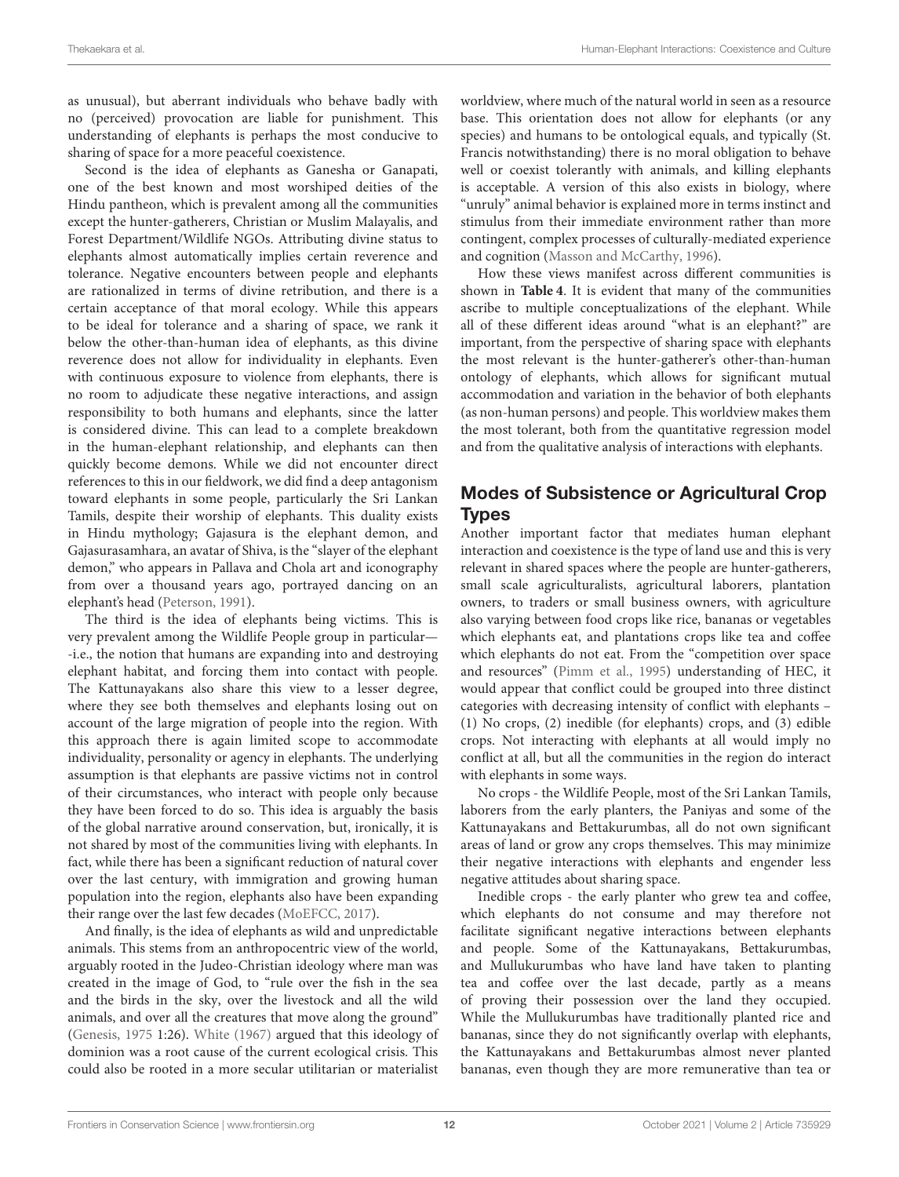as unusual), but aberrant individuals who behave badly with no (perceived) provocation are liable for punishment. This understanding of elephants is perhaps the most conducive to sharing of space for a more peaceful coexistence.

Second is the idea of elephants as Ganesha or Ganapati, one of the best known and most worshiped deities of the Hindu pantheon, which is prevalent among all the communities except the hunter-gatherers, Christian or Muslim Malayalis, and Forest Department/Wildlife NGOs. Attributing divine status to elephants almost automatically implies certain reverence and tolerance. Negative encounters between people and elephants are rationalized in terms of divine retribution, and there is a certain acceptance of that moral ecology. While this appears to be ideal for tolerance and a sharing of space, we rank it below the other-than-human idea of elephants, as this divine reverence does not allow for individuality in elephants. Even with continuous exposure to violence from elephants, there is no room to adjudicate these negative interactions, and assign responsibility to both humans and elephants, since the latter is considered divine. This can lead to a complete breakdown in the human-elephant relationship, and elephants can then quickly become demons. While we did not encounter direct references to this in our fieldwork, we did find a deep antagonism toward elephants in some people, particularly the Sri Lankan Tamils, despite their worship of elephants. This duality exists in Hindu mythology; Gajasura is the elephant demon, and Gajasurasamhara, an avatar of Shiva, is the "slayer of the elephant demon," who appears in Pallava and Chola art and iconography from over a thousand years ago, portrayed dancing on an elephant's head [\(Peterson, 1991\)](#page-16-25).

The third is the idea of elephants being victims. This is very prevalent among the Wildlife People group in particular— -i.e., the notion that humans are expanding into and destroying elephant habitat, and forcing them into contact with people. The Kattunayakans also share this view to a lesser degree, where they see both themselves and elephants losing out on account of the large migration of people into the region. With this approach there is again limited scope to accommodate individuality, personality or agency in elephants. The underlying assumption is that elephants are passive victims not in control of their circumstances, who interact with people only because they have been forced to do so. This idea is arguably the basis of the global narrative around conservation, but, ironically, it is not shared by most of the communities living with elephants. In fact, while there has been a significant reduction of natural cover over the last century, with immigration and growing human population into the region, elephants also have been expanding their range over the last few decades [\(MoEFCC, 2017\)](#page-16-26).

And finally, is the idea of elephants as wild and unpredictable animals. This stems from an anthropocentric view of the world, arguably rooted in the Judeo-Christian ideology where man was created in the image of God, to "rule over the fish in the sea and the birds in the sky, over the livestock and all the wild animals, and over all the creatures that move along the ground" [\(Genesis, 1975](#page-15-40) 1:26). [White \(1967\)](#page-16-27) argued that this ideology of dominion was a root cause of the current ecological crisis. This could also be rooted in a more secular utilitarian or materialist worldview, where much of the natural world in seen as a resource base. This orientation does not allow for elephants (or any species) and humans to be ontological equals, and typically (St. Francis notwithstanding) there is no moral obligation to behave well or coexist tolerantly with animals, and killing elephants is acceptable. A version of this also exists in biology, where "unruly" animal behavior is explained more in terms instinct and stimulus from their immediate environment rather than more contingent, complex processes of culturally-mediated experience and cognition [\(Masson and McCarthy, 1996\)](#page-15-41).

How these views manifest across different communities is shown in **[Table 4](#page-12-0)**. It is evident that many of the communities ascribe to multiple conceptualizations of the elephant. While all of these different ideas around "what is an elephant?" are important, from the perspective of sharing space with elephants the most relevant is the hunter-gatherer's other-than-human ontology of elephants, which allows for significant mutual accommodation and variation in the behavior of both elephants (as non-human persons) and people. This worldview makes them the most tolerant, both from the quantitative regression model and from the qualitative analysis of interactions with elephants.

# Modes of Subsistence or Agricultural Crop Types

Another important factor that mediates human elephant interaction and coexistence is the type of land use and this is very relevant in shared spaces where the people are hunter-gatherers, small scale agriculturalists, agricultural laborers, plantation owners, to traders or small business owners, with agriculture also varying between food crops like rice, bananas or vegetables which elephants eat, and plantations crops like tea and coffee which elephants do not eat. From the "competition over space and resources" [\(Pimm et al., 1995\)](#page-16-2) understanding of HEC, it would appear that conflict could be grouped into three distinct categories with decreasing intensity of conflict with elephants – (1) No crops, (2) inedible (for elephants) crops, and (3) edible crops. Not interacting with elephants at all would imply no conflict at all, but all the communities in the region do interact with elephants in some ways.

No crops - the Wildlife People, most of the Sri Lankan Tamils, laborers from the early planters, the Paniyas and some of the Kattunayakans and Bettakurumbas, all do not own significant areas of land or grow any crops themselves. This may minimize their negative interactions with elephants and engender less negative attitudes about sharing space.

Inedible crops - the early planter who grew tea and coffee, which elephants do not consume and may therefore not facilitate significant negative interactions between elephants and people. Some of the Kattunayakans, Bettakurumbas, and Mullukurumbas who have land have taken to planting tea and coffee over the last decade, partly as a means of proving their possession over the land they occupied. While the Mullukurumbas have traditionally planted rice and bananas, since they do not significantly overlap with elephants, the Kattunayakans and Bettakurumbas almost never planted bananas, even though they are more remunerative than tea or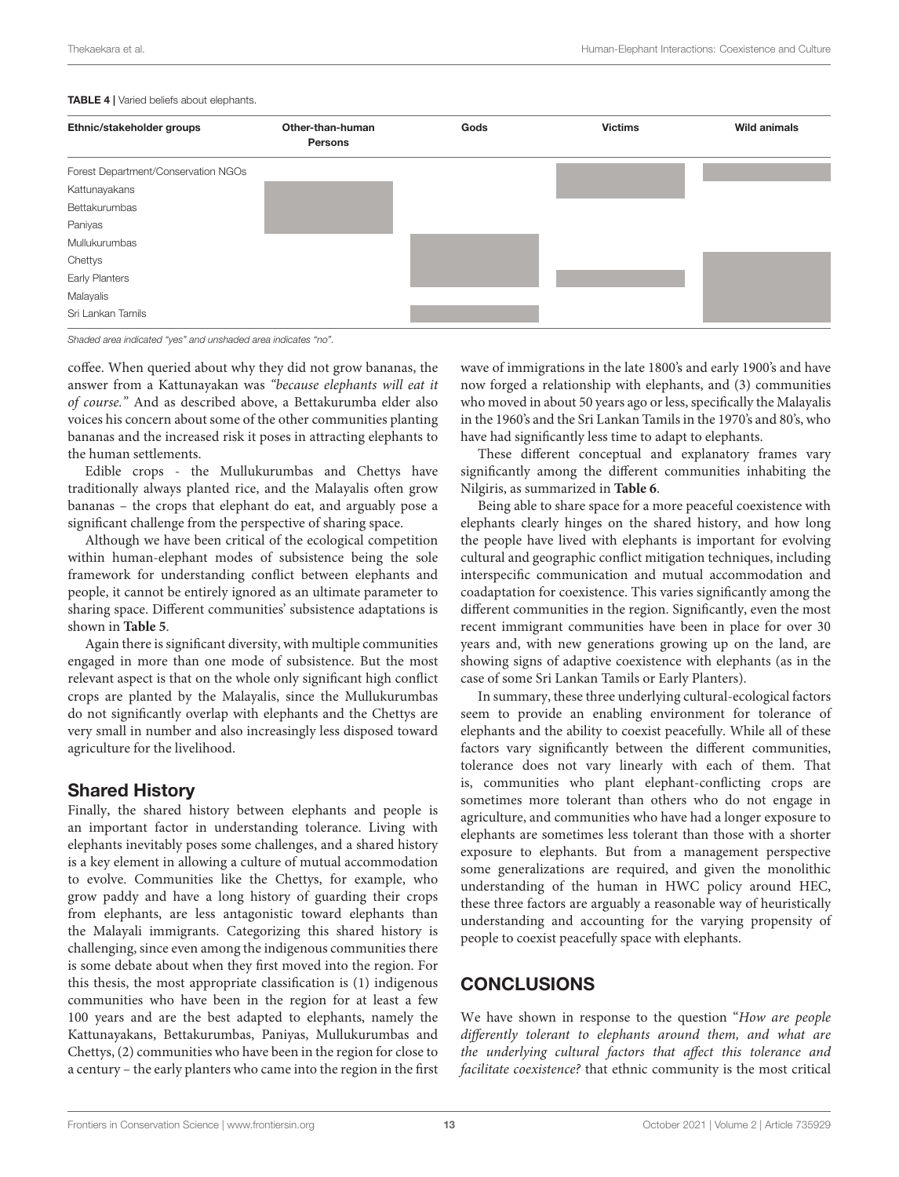#### <span id="page-12-0"></span>TABLE 4 | Varied beliefs about elephants.

| Ethnic/stakeholder groups           | Other-than-human<br><b>Persons</b> | Gods | <b>Victims</b> | <b>Wild animals</b> |
|-------------------------------------|------------------------------------|------|----------------|---------------------|
| Forest Department/Conservation NGOs |                                    |      |                |                     |
| Kattunayakans                       |                                    |      |                |                     |
| Bettakurumbas                       |                                    |      |                |                     |
| Paniyas                             |                                    |      |                |                     |
| Mullukurumbas                       |                                    |      |                |                     |
| Chettys                             |                                    |      |                |                     |
| Early Planters                      |                                    |      |                |                     |
| Malayalis                           |                                    |      |                |                     |
| Sri Lankan Tamils                   |                                    |      |                |                     |

*Shaded area indicated "yes" and unshaded area indicates "no".*

coffee. When queried about why they did not grow bananas, the answer from a Kattunayakan was "because elephants will eat it of course." And as described above, a Bettakurumba elder also voices his concern about some of the other communities planting bananas and the increased risk it poses in attracting elephants to the human settlements.

Edible crops - the Mullukurumbas and Chettys have traditionally always planted rice, and the Malayalis often grow bananas – the crops that elephant do eat, and arguably pose a significant challenge from the perspective of sharing space.

Although we have been critical of the ecological competition within human-elephant modes of subsistence being the sole framework for understanding conflict between elephants and people, it cannot be entirely ignored as an ultimate parameter to sharing space. Different communities' subsistence adaptations is shown in **[Table 5](#page-13-0)**.

Again there is significant diversity, with multiple communities engaged in more than one mode of subsistence. But the most relevant aspect is that on the whole only significant high conflict crops are planted by the Malayalis, since the Mullukurumbas do not significantly overlap with elephants and the Chettys are very small in number and also increasingly less disposed toward agriculture for the livelihood.

### Shared History

Finally, the shared history between elephants and people is an important factor in understanding tolerance. Living with elephants inevitably poses some challenges, and a shared history is a key element in allowing a culture of mutual accommodation to evolve. Communities like the Chettys, for example, who grow paddy and have a long history of guarding their crops from elephants, are less antagonistic toward elephants than the Malayali immigrants. Categorizing this shared history is challenging, since even among the indigenous communities there is some debate about when they first moved into the region. For this thesis, the most appropriate classification is (1) indigenous communities who have been in the region for at least a few 100 years and are the best adapted to elephants, namely the Kattunayakans, Bettakurumbas, Paniyas, Mullukurumbas and Chettys, (2) communities who have been in the region for close to a century – the early planters who came into the region in the first wave of immigrations in the late 1800's and early 1900's and have now forged a relationship with elephants, and (3) communities who moved in about 50 years ago or less, specifically the Malayalis in the 1960's and the Sri Lankan Tamils in the 1970's and 80's, who have had significantly less time to adapt to elephants.

These different conceptual and explanatory frames vary significantly among the different communities inhabiting the Nilgiris, as summarized in **[Table 6](#page-13-1)**.

Being able to share space for a more peaceful coexistence with elephants clearly hinges on the shared history, and how long the people have lived with elephants is important for evolving cultural and geographic conflict mitigation techniques, including interspecific communication and mutual accommodation and coadaptation for coexistence. This varies significantly among the different communities in the region. Significantly, even the most recent immigrant communities have been in place for over 30 years and, with new generations growing up on the land, are showing signs of adaptive coexistence with elephants (as in the case of some Sri Lankan Tamils or Early Planters).

In summary, these three underlying cultural-ecological factors seem to provide an enabling environment for tolerance of elephants and the ability to coexist peacefully. While all of these factors vary significantly between the different communities, tolerance does not vary linearly with each of them. That is, communities who plant elephant-conflicting crops are sometimes more tolerant than others who do not engage in agriculture, and communities who have had a longer exposure to elephants are sometimes less tolerant than those with a shorter exposure to elephants. But from a management perspective some generalizations are required, and given the monolithic understanding of the human in HWC policy around HEC, these three factors are arguably a reasonable way of heuristically understanding and accounting for the varying propensity of people to coexist peacefully space with elephants.

### **CONCLUSIONS**

We have shown in response to the question "How are people differently tolerant to elephants around them, and what are the underlying cultural factors that affect this tolerance and facilitate coexistence? that ethnic community is the most critical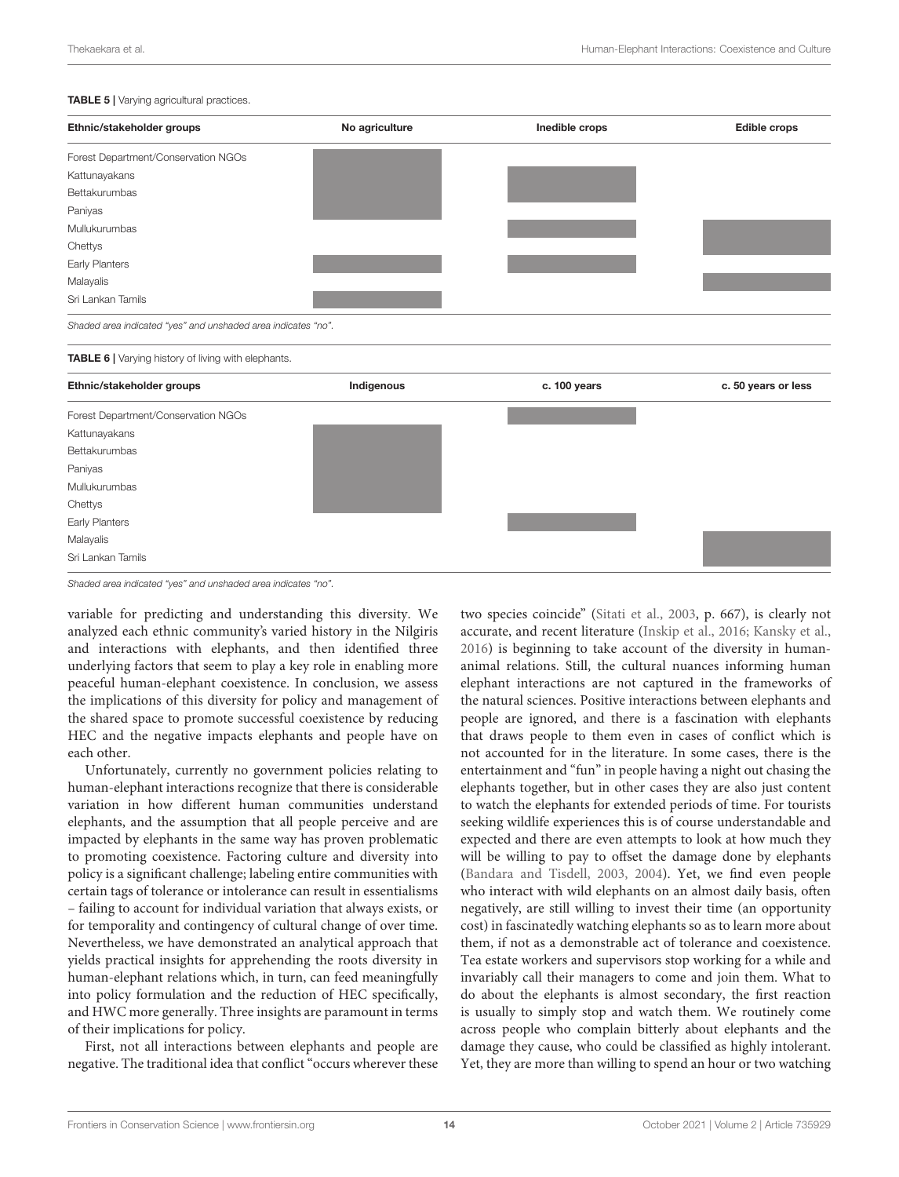#### <span id="page-13-0"></span>TABLE 5 | Varying agricultural practices.

| Ethnic/stakeholder groups                                     | No agriculture | Inedible crops | <b>Edible crops</b> |
|---------------------------------------------------------------|----------------|----------------|---------------------|
| Forest Department/Conservation NGOs                           |                |                |                     |
| Kattunayakans                                                 |                |                |                     |
| Bettakurumbas                                                 |                |                |                     |
| Paniyas                                                       |                |                |                     |
| Mullukurumbas                                                 |                |                |                     |
| Chettys                                                       |                |                |                     |
| Early Planters                                                |                |                |                     |
| Malayalis                                                     |                |                |                     |
| Sri Lankan Tamils                                             |                |                |                     |
| Shaded area indicated "yes" and unshaded area indicates "no". |                |                |                     |
| TABLE 6   Varying history of living with elephants.           |                |                |                     |
| Ethnic/stakeholder groups                                     | Indigenous     | c. 100 years   | c. 50 years or less |
| Forest Department/Conservation NGOs                           |                |                |                     |
| Kattunayakans                                                 |                |                |                     |
| Bettakurumbas                                                 |                |                |                     |
| Paniyas                                                       |                |                |                     |
| Mullukurumbas                                                 |                |                |                     |
| Chettys                                                       |                |                |                     |
| Early Planters                                                |                |                |                     |
| Malayalis                                                     |                |                |                     |
| Sri Lankan Tamils                                             |                |                |                     |

<span id="page-13-1"></span>*Shaded area indicated "yes" and unshaded area indicates "no".*

variable for predicting and understanding this diversity. We analyzed each ethnic community's varied history in the Nilgiris and interactions with elephants, and then identified three underlying factors that seem to play a key role in enabling more peaceful human-elephant coexistence. In conclusion, we assess the implications of this diversity for policy and management of the shared space to promote successful coexistence by reducing HEC and the negative impacts elephants and people have on each other.

Unfortunately, currently no government policies relating to human-elephant interactions recognize that there is considerable variation in how different human communities understand elephants, and the assumption that all people perceive and are impacted by elephants in the same way has proven problematic to promoting coexistence. Factoring culture and diversity into policy is a significant challenge; labeling entire communities with certain tags of tolerance or intolerance can result in essentialisms – failing to account for individual variation that always exists, or for temporality and contingency of cultural change of over time. Nevertheless, we have demonstrated an analytical approach that yields practical insights for apprehending the roots diversity in human-elephant relations which, in turn, can feed meaningfully into policy formulation and the reduction of HEC specifically, and HWC more generally. Three insights are paramount in terms of their implications for policy.

First, not all interactions between elephants and people are negative. The traditional idea that conflict "occurs wherever these two species coincide" [\(Sitati et al., 2003,](#page-16-28) p. 667), is clearly not accurate, and recent literature [\(Inskip et al., 2016;](#page-15-7) [Kansky et al.,](#page-15-42) [2016\)](#page-15-42) is beginning to take account of the diversity in humananimal relations. Still, the cultural nuances informing human elephant interactions are not captured in the frameworks of the natural sciences. Positive interactions between elephants and people are ignored, and there is a fascination with elephants that draws people to them even in cases of conflict which is not accounted for in the literature. In some cases, there is the entertainment and "fun" in people having a night out chasing the elephants together, but in other cases they are also just content to watch the elephants for extended periods of time. For tourists seeking wildlife experiences this is of course understandable and expected and there are even attempts to look at how much they will be willing to pay to offset the damage done by elephants [\(Bandara and Tisdell, 2003,](#page-15-43) [2004\)](#page-15-44). Yet, we find even people who interact with wild elephants on an almost daily basis, often negatively, are still willing to invest their time (an opportunity cost) in fascinatedly watching elephants so as to learn more about them, if not as a demonstrable act of tolerance and coexistence. Tea estate workers and supervisors stop working for a while and invariably call their managers to come and join them. What to do about the elephants is almost secondary, the first reaction is usually to simply stop and watch them. We routinely come across people who complain bitterly about elephants and the damage they cause, who could be classified as highly intolerant. Yet, they are more than willing to spend an hour or two watching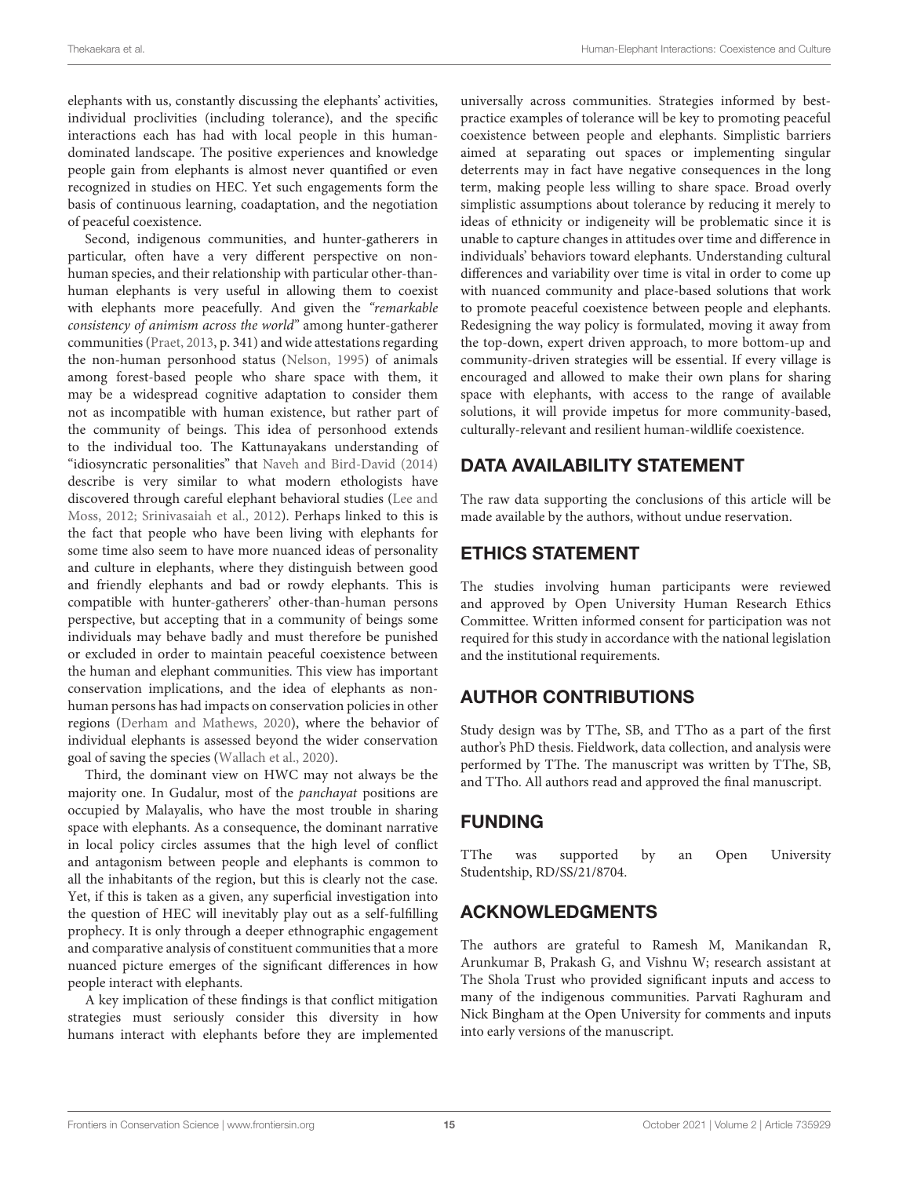elephants with us, constantly discussing the elephants' activities, individual proclivities (including tolerance), and the specific interactions each has had with local people in this humandominated landscape. The positive experiences and knowledge people gain from elephants is almost never quantified or even recognized in studies on HEC. Yet such engagements form the basis of continuous learning, coadaptation, and the negotiation of peaceful coexistence.

Second, indigenous communities, and hunter-gatherers in particular, often have a very different perspective on nonhuman species, and their relationship with particular other-thanhuman elephants is very useful in allowing them to coexist with elephants more peacefully. And given the "remarkable consistency of animism across the world" among hunter-gatherer communities [\(Praet, 2013,](#page-16-29) p. 341) and wide attestations regarding the non-human personhood status [\(Nelson, 1995\)](#page-16-10) of animals among forest-based people who share space with them, it may be a widespread cognitive adaptation to consider them not as incompatible with human existence, but rather part of the community of beings. This idea of personhood extends to the individual too. The Kattunayakans understanding of "idiosyncratic personalities" that [Naveh and Bird-David \(2014\)](#page-16-19) describe is very similar to what modern ethologists have discovered through careful elephant behavioral studies (Lee and Moss, [2012;](#page-15-45) [Srinivasaiah et al., 2012\)](#page-16-30). Perhaps linked to this is the fact that people who have been living with elephants for some time also seem to have more nuanced ideas of personality and culture in elephants, where they distinguish between good and friendly elephants and bad or rowdy elephants. This is compatible with hunter-gatherers' other-than-human persons perspective, but accepting that in a community of beings some individuals may behave badly and must therefore be punished or excluded in order to maintain peaceful coexistence between the human and elephant communities. This view has important conservation implications, and the idea of elephants as nonhuman persons has had impacts on conservation policies in other regions [\(Derham and Mathews, 2020\)](#page-15-46), where the behavior of individual elephants is assessed beyond the wider conservation goal of saving the species [\(Wallach et al., 2020\)](#page-16-31).

Third, the dominant view on HWC may not always be the majority one. In Gudalur, most of the panchayat positions are occupied by Malayalis, who have the most trouble in sharing space with elephants. As a consequence, the dominant narrative in local policy circles assumes that the high level of conflict and antagonism between people and elephants is common to all the inhabitants of the region, but this is clearly not the case. Yet, if this is taken as a given, any superficial investigation into the question of HEC will inevitably play out as a self-fulfilling prophecy. It is only through a deeper ethnographic engagement and comparative analysis of constituent communities that a more nuanced picture emerges of the significant differences in how people interact with elephants.

A key implication of these findings is that conflict mitigation strategies must seriously consider this diversity in how humans interact with elephants before they are implemented universally across communities. Strategies informed by bestpractice examples of tolerance will be key to promoting peaceful coexistence between people and elephants. Simplistic barriers aimed at separating out spaces or implementing singular deterrents may in fact have negative consequences in the long term, making people less willing to share space. Broad overly simplistic assumptions about tolerance by reducing it merely to ideas of ethnicity or indigeneity will be problematic since it is unable to capture changes in attitudes over time and difference in individuals' behaviors toward elephants. Understanding cultural differences and variability over time is vital in order to come up with nuanced community and place-based solutions that work to promote peaceful coexistence between people and elephants. Redesigning the way policy is formulated, moving it away from the top-down, expert driven approach, to more bottom-up and community-driven strategies will be essential. If every village is encouraged and allowed to make their own plans for sharing space with elephants, with access to the range of available solutions, it will provide impetus for more community-based, culturally-relevant and resilient human-wildlife coexistence.

# DATA AVAILABILITY STATEMENT

The raw data supporting the conclusions of this article will be made available by the authors, without undue reservation.

## ETHICS STATEMENT

The studies involving human participants were reviewed and approved by Open University Human Research Ethics Committee. Written informed consent for participation was not required for this study in accordance with the national legislation and the institutional requirements.

# AUTHOR CONTRIBUTIONS

Study design was by TThe, SB, and TTho as a part of the first author's PhD thesis. Fieldwork, data collection, and analysis were performed by TThe. The manuscript was written by TThe, SB, and TTho. All authors read and approved the final manuscript.

# FUNDING

TThe was supported by an Open University Studentship, RD/SS/21/8704.

# ACKNOWLEDGMENTS

The authors are grateful to Ramesh M, Manikandan R, Arunkumar B, Prakash G, and Vishnu W; research assistant at The Shola Trust who provided significant inputs and access to many of the indigenous communities. Parvati Raghuram and Nick Bingham at the Open University for comments and inputs into early versions of the manuscript.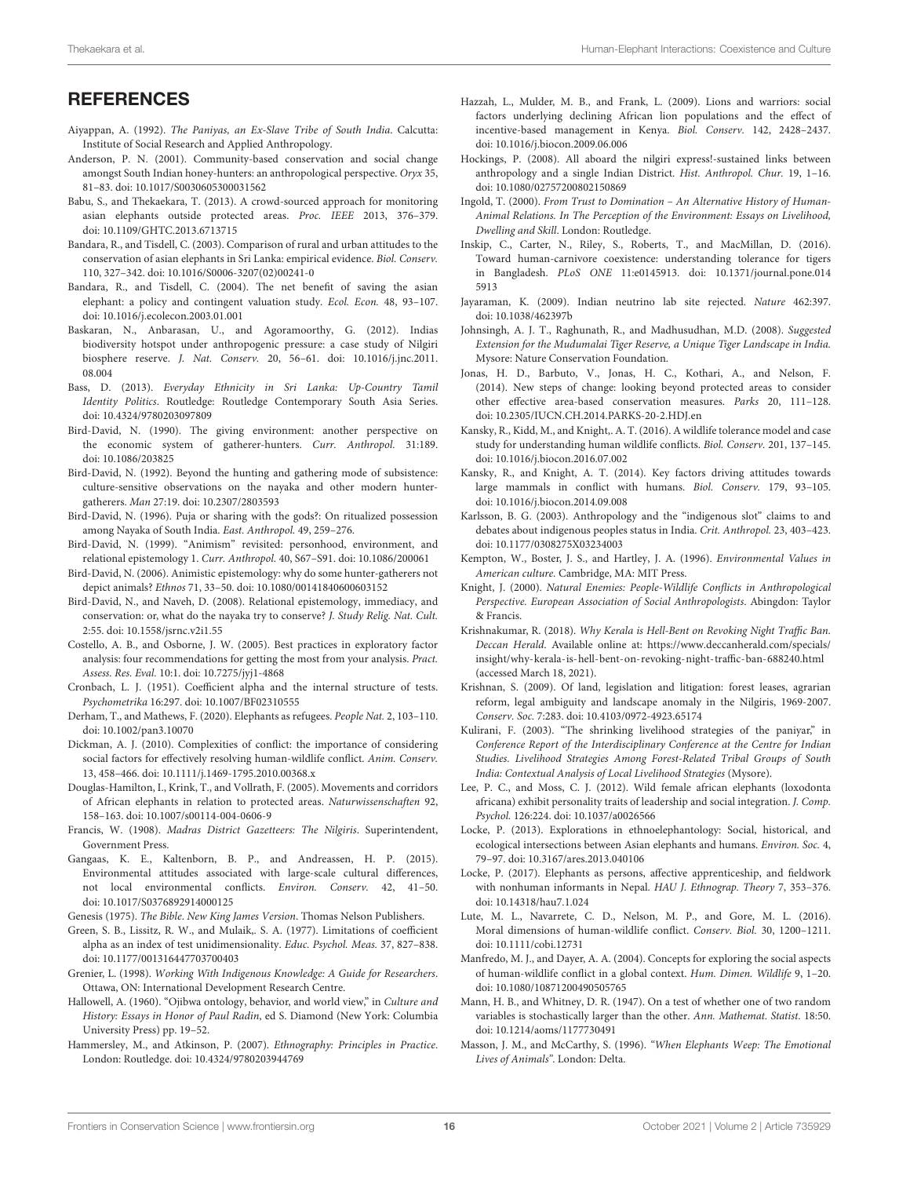# **REFERENCES**

- <span id="page-15-36"></span>Aiyappan, A. (1992). The Paniyas, an Ex-Slave Tribe of South India. Calcutta: Institute of Social Research and Applied Anthropology.
- <span id="page-15-25"></span>Anderson, P. N. (2001). Community-based conservation and social change amongst South Indian honey-hunters: an anthropological perspective. Oryx 35, 81–83. doi: [10.1017/S0030605300031562](https://doi.org/10.1017/S0030605300031562)
- <span id="page-15-24"></span>Babu, S., and Thekaekara, T. (2013). A crowd-sourced approach for monitoring asian elephants outside protected areas. Proc. IEEE 2013, 376–379. doi: [10.1109/GHTC.2013.6713715](https://doi.org/10.1109/GHTC.2013.6713715)
- <span id="page-15-43"></span>Bandara, R., and Tisdell, C. (2003). Comparison of rural and urban attitudes to the conservation of asian elephants in Sri Lanka: empirical evidence. Biol. Conserv. 110, 327–342. doi: [10.1016/S0006-3207\(02\)00241-0](https://doi.org/10.1016/S0006-3207(02)00241-0)
- <span id="page-15-44"></span>Bandara, R., and Tisdell, C. (2004). The net benefit of saving the asian elephant: a policy and contingent valuation study. Ecol. Econ. 48, 93–107. doi: [10.1016/j.ecolecon.2003.01.001](https://doi.org/10.1016/j.ecolecon.2003.01.001)
- <span id="page-15-15"></span>Baskaran, N., Anbarasan, U., and Agoramoorthy, G. (2012). Indias biodiversity hotspot under anthropogenic pressure: a case study of Nilgiri biosphere reserve. J. Nat. Conserv. [20, 56–61. doi: 10.1016/j.jnc.2011.](https://doi.org/10.1016/j.jnc.2011.08.004) 08.004
- <span id="page-15-39"></span>Bass, D. (2013). Everyday Ethnicity in Sri Lanka: Up-Country Tamil Identity Politics. Routledge: Routledge Contemporary South Asia Series. doi: [10.4324/9780203097809](https://doi.org/10.4324/9780203097809)
- <span id="page-15-28"></span>Bird-David, N. (1990). The giving environment: another perspective on the economic system of gatherer-hunters. Curr. Anthropol. 31:189. doi: [10.1086/203825](https://doi.org/10.1086/203825)
- <span id="page-15-29"></span>Bird-David, N. (1992). Beyond the hunting and gathering mode of subsistence: culture-sensitive observations on the nayaka and other modern huntergatherers. Man 27:19. doi: [10.2307/2803593](https://doi.org/10.2307/2803593)
- <span id="page-15-30"></span>Bird-David, N. (1996). Puja or sharing with the gods?: On ritualized possession among Nayaka of South India. East. Anthropol. 49, 259–276.
- <span id="page-15-31"></span>Bird-David, N. (1999). "Animism" revisited: personhood, environment, and relational epistemology 1. Curr. Anthropol. 40, S67–S91. doi: [10.1086/200061](https://doi.org/10.1086/200061)
- <span id="page-15-32"></span>Bird-David, N. (2006). Animistic epistemology: why do some hunter-gatherers not depict animals? Ethnos 71, 33–50. doi: [10.1080/00141840600603152](https://doi.org/10.1080/00141840600603152)
- <span id="page-15-34"></span>Bird-David, N., and Naveh, D. (2008). Relational epistemology, immediacy, and conservation: or, what do the nayaka try to conserve? J. Study Relig. Nat. Cult. 2:55. doi: [10.1558/jsrnc.v2i1.55](https://doi.org/10.1558/jsrnc.v2i1.55)
- <span id="page-15-21"></span>Costello, A. B., and Osborne, J. W. (2005). Best practices in exploratory factor analysis: four recommendations for getting the most from your analysis. Pract. Assess. Res. Eval. 10:1. doi: [10.7275/jyj1-4868](https://doi.org/10.7275/jyj1-4868)
- <span id="page-15-19"></span>Cronbach, L. J. (1951). Coefficient alpha and the internal structure of tests. Psychometrika 16:297. doi: [10.1007/BF02310555](https://doi.org/10.1007/BF02310555)
- <span id="page-15-46"></span>Derham, T., and Mathews, F. (2020). Elephants as refugees. People Nat. 2, 103–110. doi: [10.1002/pan3.10070](https://doi.org/10.1002/pan3.10070)
- <span id="page-15-3"></span>Dickman, A. J. (2010). Complexities of conflict: the importance of considering social factors for effectively resolving human-wildlife conflict. Anim. Conserv. 13, 458–466. doi: [10.1111/j.1469-1795.2010.00368.x](https://doi.org/10.1111/j.1469-1795.2010.00368.x)
- <span id="page-15-1"></span>Douglas-Hamilton, I., Krink, T., and Vollrath, F. (2005). Movements and corridors of African elephants in relation to protected areas. Naturwissenschaften 92, 158–163. doi: [10.1007/s00114-004-0606-9](https://doi.org/10.1007/s00114-004-0606-9)
- <span id="page-15-35"></span>Francis, W. (1908). Madras District Gazetteers: The Nilgiris. Superintendent, Government Press.
- <span id="page-15-4"></span>Gangaas, K. E., Kaltenborn, B. P., and Andreassen, H. P. (2015). Environmental attitudes associated with large-scale cultural differences, not local environmental conflicts. Environ. Conserv. 42, 41–50. doi: [10.1017/S0376892914000125](https://doi.org/10.1017/S0376892914000125)

<span id="page-15-40"></span>Genesis (1975). The Bible. New King James Version. Thomas Nelson Publishers.

- <span id="page-15-20"></span>Green, S. B., Lissitz, R. W., and Mulaik,. S. A. (1977). Limitations of coefficient alpha as an index of test unidimensionality. Educ. Psychol. Meas. 37, 827–838. doi: [10.1177/001316447703700403](https://doi.org/10.1177/001316447703700403)
- <span id="page-15-17"></span>Grenier, L. (1998). Working With Indigenous Knowledge: A Guide for Researchers. Ottawa, ON: International Development Research Centre.
- <span id="page-15-33"></span>Hallowell, A. (1960). "Ojibwa ontology, behavior, and world view," in Culture and History: Essays in Honor of Paul Radin, ed S. Diamond (New York: Columbia University Press) pp. 19–52.
- <span id="page-15-23"></span>Hammersley, M., and Atkinson, P. (2007). Ethnography: Principles in Practice. London: Routledge. doi: [10.4324/9780203944769](https://doi.org/10.4324/9780203944769)
- <span id="page-15-5"></span>Hazzah, L., Mulder, M. B., and Frank, L. (2009). Lions and warriors: social factors underlying declining African lion populations and the effect of incentive-based management in Kenya. Biol. Conserv. 142, 2428–2437. doi: [10.1016/j.biocon.2009.06.006](https://doi.org/10.1016/j.biocon.2009.06.006)
- <span id="page-15-14"></span>Hockings, P. (2008). All aboard the nilgiri express!-sustained links between anthropology and a single Indian District. Hist. Anthropol. Chur. 19, 1–16. doi: [10.1080/02757200802150869](https://doi.org/10.1080/02757200802150869)
- <span id="page-15-10"></span>Ingold, T. (2000). From Trust to Domination – An Alternative History of Human-Animal Relations. In The Perception of the Environment: Essays on Livelihood, Dwelling and Skill. London: Routledge.
- <span id="page-15-7"></span>Inskip, C., Carter, N., Riley, S., Roberts, T., and MacMillan, D. (2016). Toward human-carnivore coexistence: understanding tolerance for tigers in Bangladesh. PLoS ONE [11:e0145913. doi: 10.1371/journal.pone.014](https://doi.org/10.1371/journal.pone.0145913) 5913
- <span id="page-15-27"></span>Jayaraman, K. (2009). Indian neutrino lab site rejected. Nature 462:397. doi: [10.1038/462397b](https://doi.org/10.1038/462397b)
- <span id="page-15-13"></span>Johnsingh, A. J. T., Raghunath, R., and Madhusudhan, M.D. (2008). Suggested Extension for the Mudumalai Tiger Reserve, a Unique Tiger Landscape in India. Mysore: Nature Conservation Foundation.
- <span id="page-15-0"></span>Jonas, H. D., Barbuto, V., Jonas, H. C., Kothari, A., and Nelson, F. (2014). New steps of change: looking beyond protected areas to consider other effective area-based conservation measures. Parks 20, 111–128. doi: [10.2305/IUCN.CH.2014.PARKS-20-2.HDJ.en](https://doi.org/10.2305/IUCN.CH.2014.PARKS-20-2.HDJ.en)
- <span id="page-15-42"></span>Kansky, R., Kidd, M., and Knight,. A. T. (2016). A wildlife tolerance model and case study for understanding human wildlife conflicts. Biol. Conserv. 201, 137–145. doi: [10.1016/j.biocon.2016.07.002](https://doi.org/10.1016/j.biocon.2016.07.002)
- <span id="page-15-6"></span>Kansky, R., and Knight, A. T. (2014). Key factors driving attitudes towards large mammals in conflict with humans. Biol. Conserv. 179, 93–105. doi: [10.1016/j.biocon.2014.09.008](https://doi.org/10.1016/j.biocon.2014.09.008)
- <span id="page-15-18"></span>Karlsson, B. G. (2003). Anthropology and the "indigenous slot" claims to and debates about indigenous peoples status in India. Crit. Anthropol. 23, 403–423. doi: [10.1177/0308275X03234003](https://doi.org/10.1177/0308275X03234003)
- <span id="page-15-16"></span>Kempton, W., Boster, J. S., and Hartley, J. A. (1996). Environmental Values in American culture. Cambridge, MA: MIT Press.
- <span id="page-15-9"></span>Knight, J. (2000). Natural Enemies: People-Wildlife Conflicts in Anthropological Perspective. European Association of Social Anthropologists. Abingdon: Taylor & Francis.
- <span id="page-15-26"></span>Krishnakumar, R. (2018). Why Kerala is Hell-Bent on Revoking Night Traffic Ban. Deccan Herald. Available online at: [https://www.deccanherald.com/specials/](https://www.deccanherald.com/specials/insight/why-kerala-is-hell-bent-on-revoking-night-traffic-ban-688240.html) [insight/why-kerala-is-hell-bent-on-revoking-night-traffic-ban-688240.html](https://www.deccanherald.com/specials/insight/why-kerala-is-hell-bent-on-revoking-night-traffic-ban-688240.html) (accessed March 18, 2021).
- <span id="page-15-38"></span>Krishnan, S. (2009). Of land, legislation and litigation: forest leases, agrarian reform, legal ambiguity and landscape anomaly in the Nilgiris, 1969-2007. Conserv. Soc. 7:283. doi: [10.4103/0972-4923.65174](https://doi.org/10.4103/0972-4923.65174)
- <span id="page-15-37"></span>Kulirani, F. (2003). "The shrinking livelihood strategies of the paniyar," in Conference Report of the Interdisciplinary Conference at the Centre for Indian Studies. Livelihood Strategies Among Forest-Related Tribal Groups of South India: Contextual Analysis of Local Livelihood Strategies (Mysore).
- <span id="page-15-45"></span>Lee, P. C., and Moss, C. J. (2012). Wild female african elephants (loxodonta africana) exhibit personality traits of leadership and social integration. J. Comp. Psychol. 126:224. doi: [10.1037/a0026566](https://doi.org/10.1037/a0026566)
- <span id="page-15-11"></span>Locke, P. (2013). Explorations in ethnoelephantology: Social, historical, and ecological intersections between Asian elephants and humans. Environ. Soc. 4, 79–97. doi: [10.3167/ares.2013.040106](https://doi.org/10.3167/ares.2013.040106)
- <span id="page-15-12"></span>Locke, P. (2017). Elephants as persons, affective apprenticeship, and fieldwork with nonhuman informants in Nepal. HAU J. Ethnograp. Theory 7, 353–376. doi: [10.14318/hau7.1.024](https://doi.org/10.14318/hau7.1.024)
- <span id="page-15-2"></span>Lute, M. L., Navarrete, C. D., Nelson, M. P., and Gore, M. L. (2016). Moral dimensions of human-wildlife conflict. Conserv. Biol. 30, 1200–1211. doi: [10.1111/cobi.12731](https://doi.org/10.1111/cobi.12731)
- <span id="page-15-8"></span>Manfredo, M. J., and Dayer, A. A. (2004). Concepts for exploring the social aspects of human-wildlife conflict in a global context. Hum. Dimen. Wildlife 9, 1–20. doi: [10.1080/10871200490505765](https://doi.org/10.1080/10871200490505765)
- <span id="page-15-22"></span>Mann, H. B., and Whitney, D. R. (1947). On a test of whether one of two random variables is stochastically larger than the other. Ann. Mathemat. Statist. 18:50. doi: [10.1214/aoms/1177730491](https://doi.org/10.1214/aoms/1177730491)
- <span id="page-15-41"></span>Masson, J. M., and McCarthy, S. (1996). "When Elephants Weep: The Emotional Lives of Animals". London: Delta.